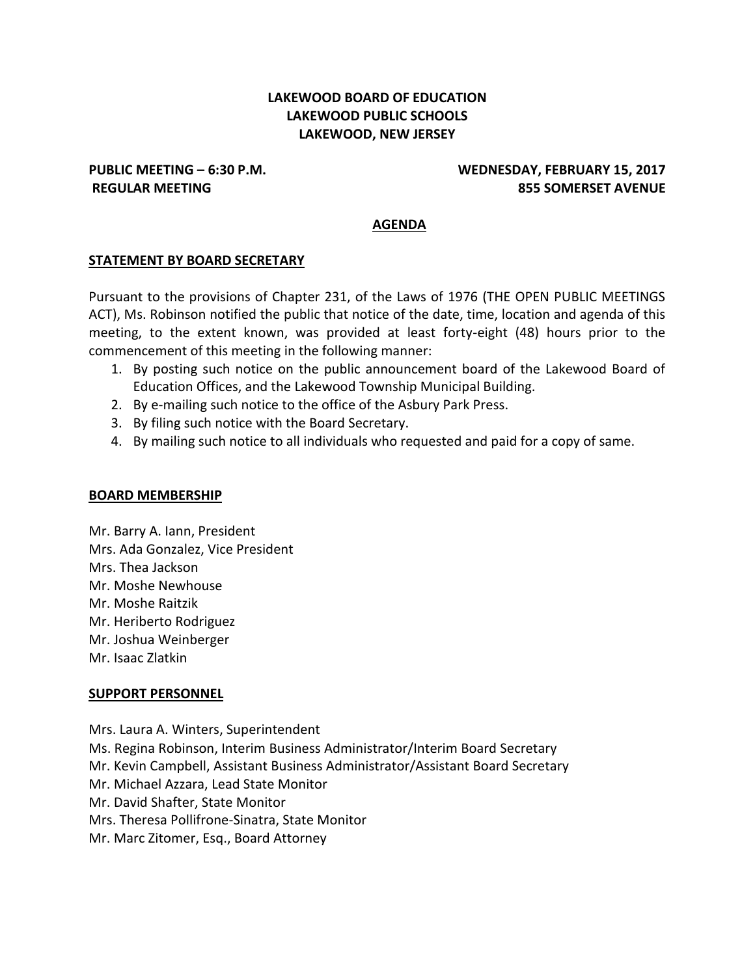# **LAKEWOOD BOARD OF EDUCATION LAKEWOOD PUBLIC SCHOOLS LAKEWOOD, NEW JERSEY**

# **PUBLIC MEETING – 6:30 P.M. WEDNESDAY, FEBRUARY 15, 2017 REGULAR MEETING 855 SOMERSET AVENUE**

#### **AGENDA**

#### **STATEMENT BY BOARD SECRETARY**

Pursuant to the provisions of Chapter 231, of the Laws of 1976 (THE OPEN PUBLIC MEETINGS ACT), Ms. Robinson notified the public that notice of the date, time, location and agenda of this meeting, to the extent known, was provided at least forty-eight (48) hours prior to the commencement of this meeting in the following manner:

- 1. By posting such notice on the public announcement board of the Lakewood Board of Education Offices, and the Lakewood Township Municipal Building.
- 2. By e-mailing such notice to the office of the Asbury Park Press.
- 3. By filing such notice with the Board Secretary.
- 4. By mailing such notice to all individuals who requested and paid for a copy of same.

#### **BOARD MEMBERSHIP**

Mr. Barry A. Iann, President Mrs. Ada Gonzalez, Vice President Mrs. Thea Jackson Mr. Moshe Newhouse Mr. Moshe Raitzik Mr. Heriberto Rodriguez Mr. Joshua Weinberger Mr. Isaac Zlatkin

#### **SUPPORT PERSONNEL**

Mrs. Laura A. Winters, Superintendent Ms. Regina Robinson, Interim Business Administrator/Interim Board Secretary Mr. Kevin Campbell, Assistant Business Administrator/Assistant Board Secretary Mr. Michael Azzara, Lead State Monitor Mr. David Shafter, State Monitor Mrs. Theresa Pollifrone-Sinatra, State Monitor Mr. Marc Zitomer, Esq., Board Attorney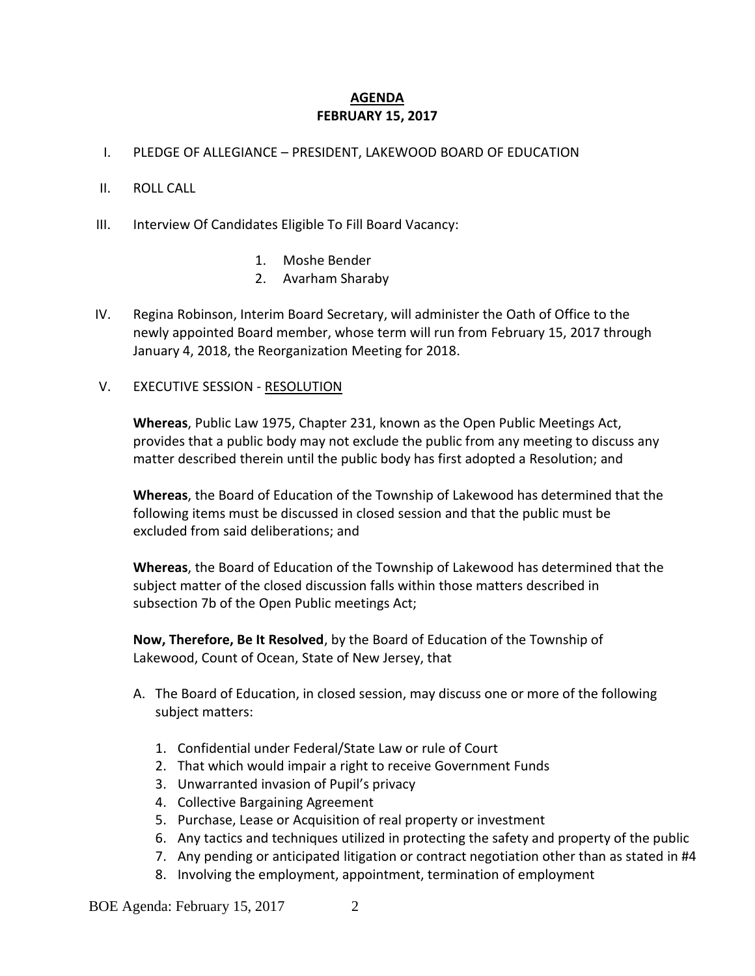# **AGENDA FEBRUARY 15, 2017**

I. PLEDGE OF ALLEGIANCE – PRESIDENT, LAKEWOOD BOARD OF EDUCATION

### II. ROLL CALL

- III. Interview Of Candidates Eligible To Fill Board Vacancy:
	- 1. Moshe Bender
	- 2. Avarham Sharaby
- IV. Regina Robinson, Interim Board Secretary, will administer the Oath of Office to the newly appointed Board member, whose term will run from February 15, 2017 through January 4, 2018, the Reorganization Meeting for 2018.
- V. EXECUTIVE SESSION RESOLUTION

**Whereas**, Public Law 1975, Chapter 231, known as the Open Public Meetings Act, provides that a public body may not exclude the public from any meeting to discuss any matter described therein until the public body has first adopted a Resolution; and

**Whereas**, the Board of Education of the Township of Lakewood has determined that the following items must be discussed in closed session and that the public must be excluded from said deliberations; and

**Whereas**, the Board of Education of the Township of Lakewood has determined that the subject matter of the closed discussion falls within those matters described in subsection 7b of the Open Public meetings Act;

**Now, Therefore, Be It Resolved**, by the Board of Education of the Township of Lakewood, Count of Ocean, State of New Jersey, that

- A. The Board of Education, in closed session, may discuss one or more of the following subject matters:
	- 1. Confidential under Federal/State Law or rule of Court
	- 2. That which would impair a right to receive Government Funds
	- 3. Unwarranted invasion of Pupil's privacy
	- 4. Collective Bargaining Agreement
	- 5. Purchase, Lease or Acquisition of real property or investment
	- 6. Any tactics and techniques utilized in protecting the safety and property of the public
	- 7. Any pending or anticipated litigation or contract negotiation other than as stated in #4
	- 8. Involving the employment, appointment, termination of employment

BOE Agenda: February 15, 2017 2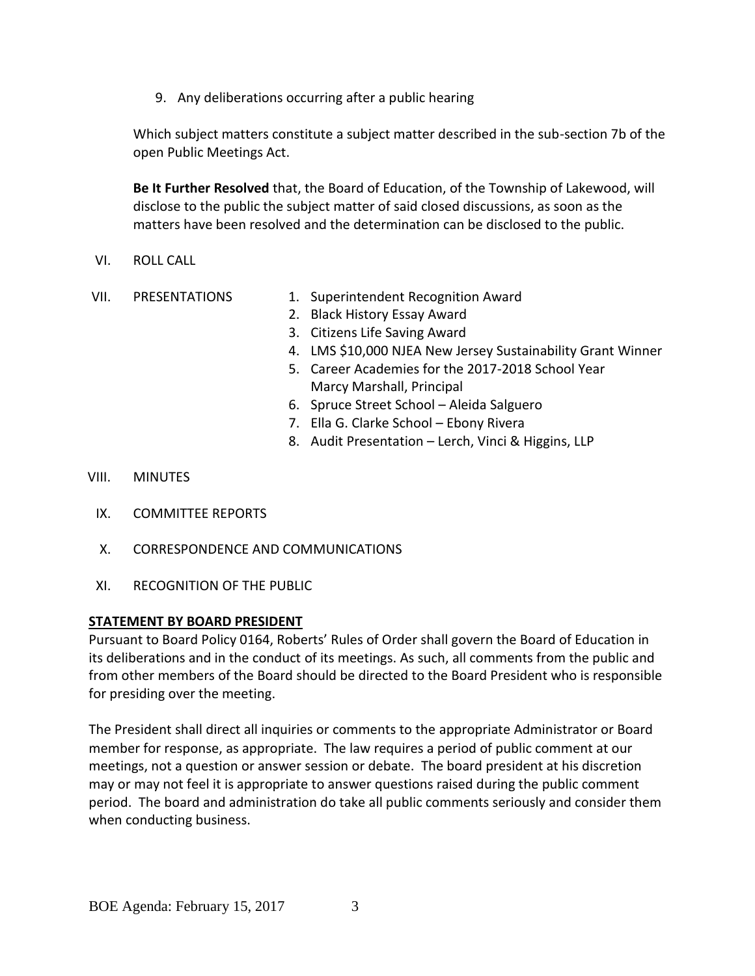9. Any deliberations occurring after a public hearing

Which subject matters constitute a subject matter described in the sub-section 7b of the open Public Meetings Act.

**Be It Further Resolved** that, the Board of Education, of the Township of Lakewood, will disclose to the public the subject matter of said closed discussions, as soon as the matters have been resolved and the determination can be disclosed to the public.

- VI. ROLL CALL
- 
- VII. PRESENTATIONS 1. Superintendent Recognition Award
	- 2. Black History Essay Award
	- 3. Citizens Life Saving Award
	- 4. LMS \$10,000 NJEA New Jersey Sustainability Grant Winner
	- 5. Career Academies for the 2017-2018 School Year Marcy Marshall, Principal
	- 6. Spruce Street School Aleida Salguero
	- 7. Ella G. Clarke School Ebony Rivera
	- 8. Audit Presentation Lerch, Vinci & Higgins, LLP

### VIII. MINUTES

- IX. COMMITTEE REPORTS
- X. CORRESPONDENCE AND COMMUNICATIONS
- XI. RECOGNITION OF THE PUBLIC

### **STATEMENT BY BOARD PRESIDENT**

Pursuant to Board Policy 0164, Roberts' Rules of Order shall govern the Board of Education in its deliberations and in the conduct of its meetings. As such, all comments from the public and from other members of the Board should be directed to the Board President who is responsible for presiding over the meeting.

The President shall direct all inquiries or comments to the appropriate Administrator or Board member for response, as appropriate. The law requires a period of public comment at our meetings, not a question or answer session or debate. The board president at his discretion may or may not feel it is appropriate to answer questions raised during the public comment period. The board and administration do take all public comments seriously and consider them when conducting business.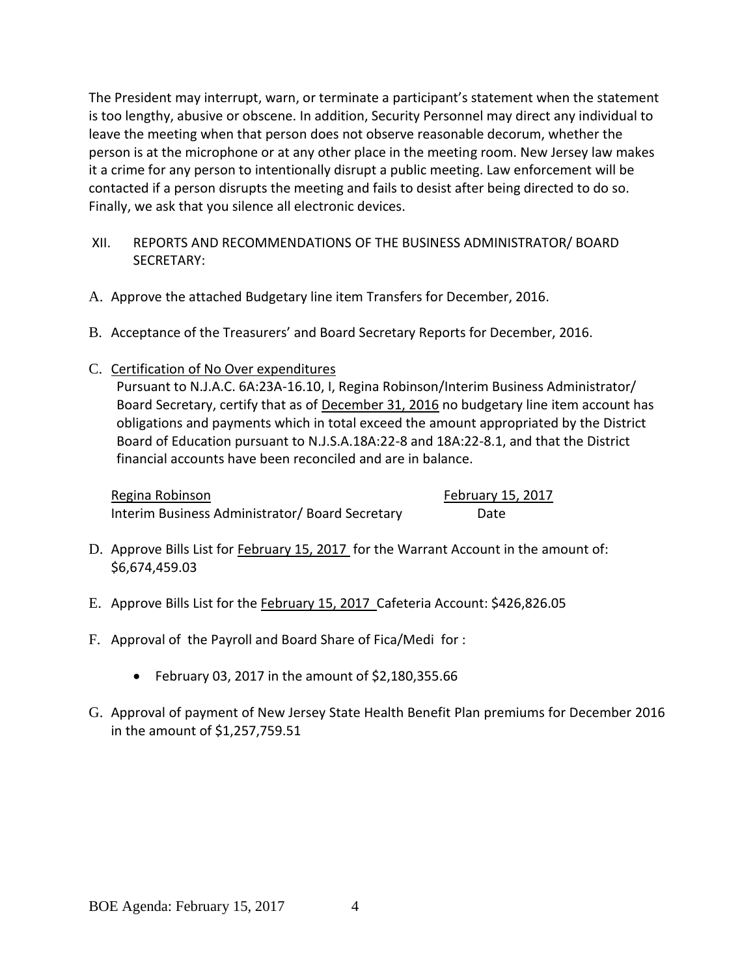The President may interrupt, warn, or terminate a participant's statement when the statement is too lengthy, abusive or obscene. In addition, Security Personnel may direct any individual to leave the meeting when that person does not observe reasonable decorum, whether the person is at the microphone or at any other place in the meeting room. New Jersey law makes it a crime for any person to intentionally disrupt a public meeting. Law enforcement will be contacted if a person disrupts the meeting and fails to desist after being directed to do so. Finally, we ask that you silence all electronic devices.

- XII. REPORTS AND RECOMMENDATIONS OF THE BUSINESS ADMINISTRATOR/ BOARD SECRETARY:
- A. Approve the attached Budgetary line item Transfers for December, 2016.
- B. Acceptance of the Treasurers' and Board Secretary Reports for December, 2016.
- C. Certification of No Over expenditures

Pursuant to N.J.A.C. 6A:23A-16.10, I, Regina Robinson/Interim Business Administrator/ Board Secretary, certify that as of December 31, 2016 no budgetary line item account has obligations and payments which in total exceed the amount appropriated by the District Board of Education pursuant to N.J.S.A.18A:22-8 and 18A:22-8.1, and that the District financial accounts have been reconciled and are in balance.

Regina Robinson **February 15, 2017** Interim Business Administrator/ Board Secretary Date

- D. Approve Bills List for February 15, 2017 for the Warrant Account in the amount of: \$6,674,459.03
- E. Approve Bills List for the February 15, 2017 Cafeteria Account: \$426,826.05
- F. Approval of the Payroll and Board Share of Fica/Medi for :
	- February 03, 2017 in the amount of  $$2,180,355.66$
- G. Approval of payment of New Jersey State Health Benefit Plan premiums for December 2016 in the amount of \$1,257,759.51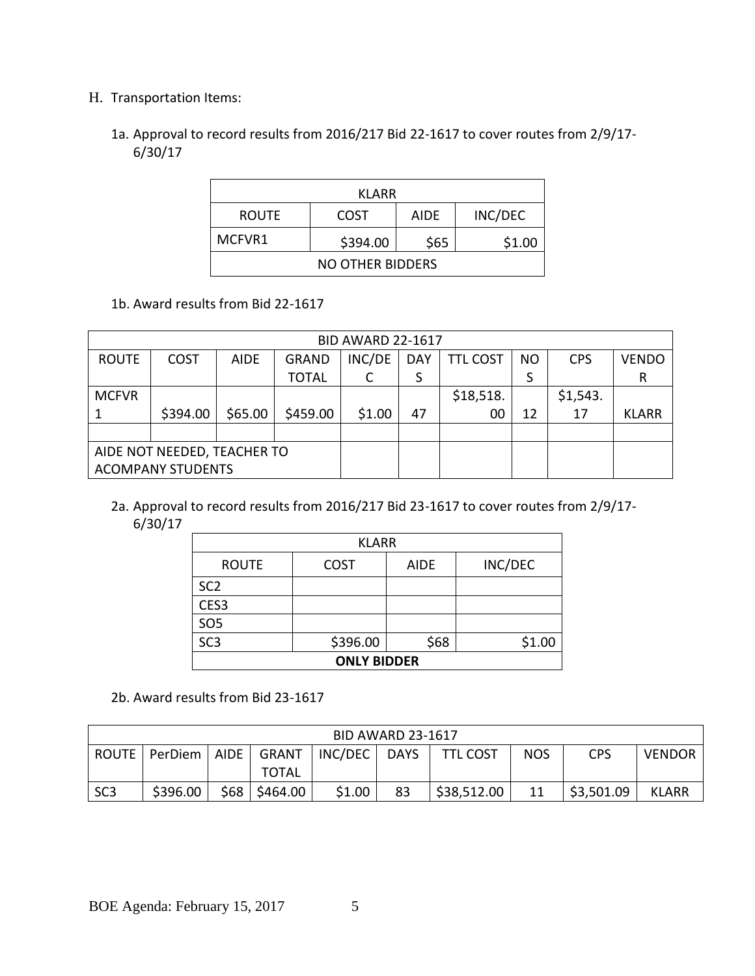# H. Transportation Items:

1a. Approval to record results from 2016/217 Bid 22-1617 to cover routes from 2/9/17- 6/30/17

| KLARR                                   |        |  |  |  |  |  |
|-----------------------------------------|--------|--|--|--|--|--|
| INC/DEC<br>COST<br><b>ROUTE</b><br>AIDE |        |  |  |  |  |  |
| MCFVR1                                  | \$1.00 |  |  |  |  |  |
| NO OTHER BIDDERS                        |        |  |  |  |  |  |

1b. Award results from Bid 22-1617

| <b>BID AWARD 22-1617</b>    |             |             |              |        |            |                 |           |            |              |
|-----------------------------|-------------|-------------|--------------|--------|------------|-----------------|-----------|------------|--------------|
| <b>ROUTE</b>                | <b>COST</b> | <b>AIDE</b> | <b>GRAND</b> | INC/DE | <b>DAY</b> | <b>TTL COST</b> | <b>NO</b> | <b>CPS</b> | <b>VENDO</b> |
|                             |             |             | <b>TOTAL</b> |        | S          |                 | S         |            | R            |
| <b>MCFVR</b>                |             |             |              |        |            | \$18,518.       |           | \$1,543.   |              |
|                             | \$394.00    | \$65.00     | \$459.00     | \$1.00 | 47         | 00              | 12        | 17         | <b>KLARR</b> |
|                             |             |             |              |        |            |                 |           |            |              |
| AIDE NOT NEEDED, TEACHER TO |             |             |              |        |            |                 |           |            |              |
| <b>ACOMPANY STUDENTS</b>    |             |             |              |        |            |                 |           |            |              |

2a. Approval to record results from 2016/217 Bid 23-1617 to cover routes from 2/9/17- 6/30/17

| <b>KLARR</b>       |             |             |         |  |  |  |  |
|--------------------|-------------|-------------|---------|--|--|--|--|
| <b>ROUTE</b>       | <b>COST</b> | <b>AIDE</b> | INC/DEC |  |  |  |  |
| SC <sub>2</sub>    |             |             |         |  |  |  |  |
| CES3               |             |             |         |  |  |  |  |
| <b>SO5</b>         |             |             |         |  |  |  |  |
| SC <sub>3</sub>    | \$396.00    | \$68        | \$1.00  |  |  |  |  |
| <b>ONLY BIDDER</b> |             |             |         |  |  |  |  |

2b. Award results from Bid 23-1617

| <b>BID AWARD 23-1617</b> |          |             |              |         |             |                 |            |            |               |
|--------------------------|----------|-------------|--------------|---------|-------------|-----------------|------------|------------|---------------|
| ROUTE                    | PerDiem  | <b>AIDE</b> | GRANT        | INC/DEC | <b>DAYS</b> | <b>TTL COST</b> | <b>NOS</b> | <b>CPS</b> | <b>VENDOR</b> |
|                          |          |             | <b>TOTAL</b> |         |             |                 |            |            |               |
| SC <sub>3</sub>          | \$396.00 | \$68        | S464.00      | \$1.00  | 83          | \$38,512.00     | 11         | \$3,501.09 | <b>KLARR</b>  |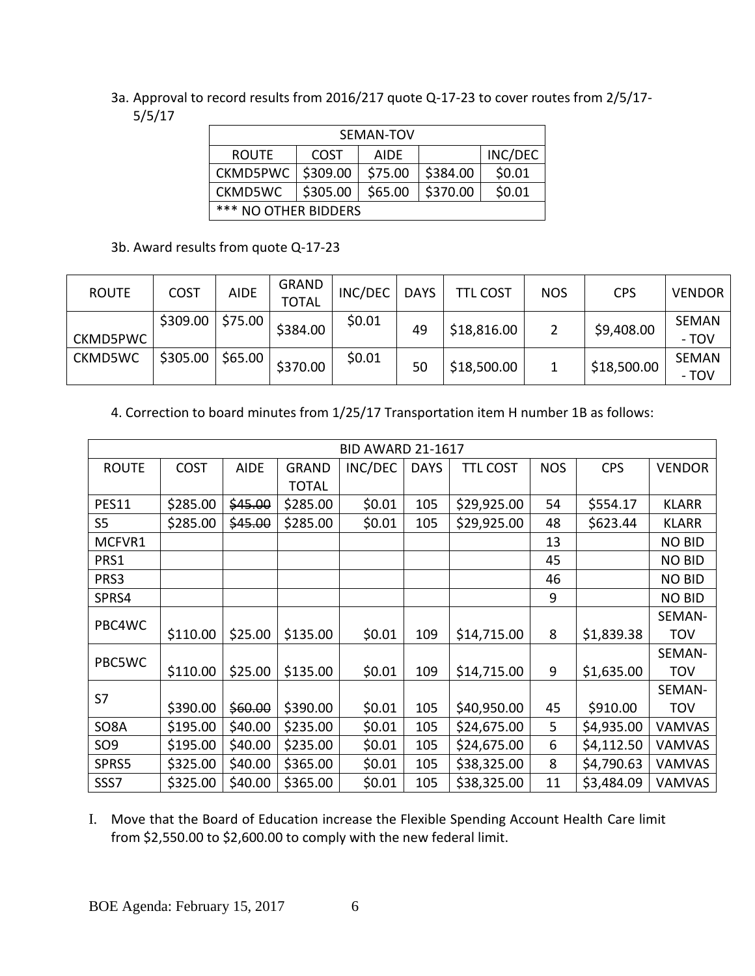3a. Approval to record results from 2016/217 quote Q-17-23 to cover routes from 2/5/17- 5/5/17

| SEMAN-TOV                                            |          |             |          |         |  |  |  |
|------------------------------------------------------|----------|-------------|----------|---------|--|--|--|
| <b>ROUTF</b>                                         | COST     | <b>AIDF</b> |          | INC/DEC |  |  |  |
| CKMD5PWC                                             | \$309.00 | \$75.00     | \$384.00 | \$0.01  |  |  |  |
| \$370.00<br>\$0.01<br>\$305.00<br>\$65.00<br>CKMD5WC |          |             |          |         |  |  |  |
| *** NO OTHER BIDDERS                                 |          |             |          |         |  |  |  |

3b. Award results from quote Q-17-23

| <b>ROUTE</b> | <b>COST</b> | <b>AIDE</b> | <b>GRAND</b><br><b>TOTAL</b> | INC/DEC | <b>DAYS</b> | <b>TTL COST</b> | <b>NOS</b> | <b>CPS</b>  | <b>VENDOR</b>         |
|--------------|-------------|-------------|------------------------------|---------|-------------|-----------------|------------|-------------|-----------------------|
| CKMD5PWC     | \$309.00    | \$75.00     | \$384.00                     | \$0.01  | 49          | \$18,816.00     |            | \$9,408.00  | <b>SEMAN</b><br>- TOV |
| CKMD5WC      | \$305.00    | \$65.00     | \$370.00                     | \$0.01  | 50          | \$18,500.00     |            | \$18,500.00 | <b>SEMAN</b><br>- TOV |

4. Correction to board minutes from 1/25/17 Transportation item H number 1B as follows:

| <b>BID AWARD 21-1617</b> |             |             |              |         |             |                 |            |            |               |
|--------------------------|-------------|-------------|--------------|---------|-------------|-----------------|------------|------------|---------------|
| <b>ROUTE</b>             | <b>COST</b> | <b>AIDE</b> | <b>GRAND</b> | INC/DEC | <b>DAYS</b> | <b>TTL COST</b> | <b>NOS</b> | <b>CPS</b> | <b>VENDOR</b> |
|                          |             |             | <b>TOTAL</b> |         |             |                 |            |            |               |
| <b>PES11</b>             | \$285.00    | \$45.00     | \$285.00     | \$0.01  | 105         | \$29,925.00     | 54         | \$554.17   | <b>KLARR</b>  |
| S <sub>5</sub>           | \$285.00    | \$45.00     | \$285.00     | \$0.01  | 105         | \$29,925.00     | 48         | \$623.44   | <b>KLARR</b>  |
| MCFVR1                   |             |             |              |         |             |                 | 13         |            | <b>NO BID</b> |
| PRS1                     |             |             |              |         |             |                 | 45         |            | <b>NO BID</b> |
| PRS3                     |             |             |              |         |             |                 | 46         |            | <b>NO BID</b> |
| SPRS4                    |             |             |              |         |             |                 | 9          |            | <b>NO BID</b> |
| PBC4WC                   |             |             |              |         |             |                 |            |            | SEMAN-        |
|                          | \$110.00    | \$25.00     | \$135.00     | \$0.01  | 109         | \$14,715.00     | 8          | \$1,839.38 | <b>TOV</b>    |
| PBC5WC                   |             |             |              |         |             |                 |            |            | SEMAN-        |
|                          | \$110.00    | \$25.00     | \$135.00     | \$0.01  | 109         | \$14,715.00     | 9          | \$1,635.00 | <b>TOV</b>    |
| S7                       |             |             |              |         |             |                 |            |            | SEMAN-        |
|                          | \$390.00    | \$60.00     | \$390.00     | \$0.01  | 105         | \$40,950.00     | 45         | \$910.00   | <b>TOV</b>    |
| SO8A                     | \$195.00    | \$40.00     | \$235.00     | \$0.01  | 105         | \$24,675.00     | 5          | \$4,935.00 | <b>VAMVAS</b> |
| SO <sub>9</sub>          | \$195.00    | \$40.00     | \$235.00     | \$0.01  | 105         | \$24,675.00     | 6          | \$4,112.50 | <b>VAMVAS</b> |
| SPRS5                    | \$325.00    | \$40.00     | \$365.00     | \$0.01  | 105         | \$38,325.00     | 8          | \$4,790.63 | <b>VAMVAS</b> |
| SSS7                     | \$325.00    | \$40.00     | \$365.00     | \$0.01  | 105         | \$38,325.00     | 11         | \$3,484.09 | VAMVAS        |

I. Move that the Board of Education increase the Flexible Spending Account Health Care limit from \$2,550.00 to \$2,600.00 to comply with the new federal limit.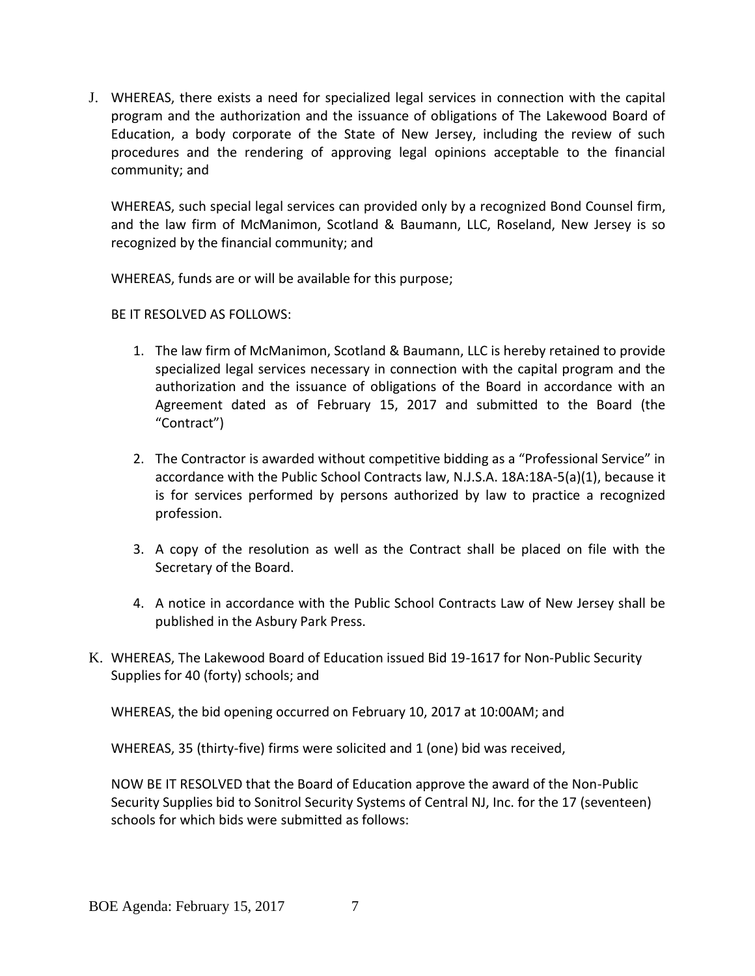J. WHEREAS, there exists a need for specialized legal services in connection with the capital program and the authorization and the issuance of obligations of The Lakewood Board of Education, a body corporate of the State of New Jersey, including the review of such procedures and the rendering of approving legal opinions acceptable to the financial community; and

WHEREAS, such special legal services can provided only by a recognized Bond Counsel firm, and the law firm of McManimon, Scotland & Baumann, LLC, Roseland, New Jersey is so recognized by the financial community; and

WHEREAS, funds are or will be available for this purpose;

# BE IT RESOLVED AS FOLLOWS:

- 1. The law firm of McManimon, Scotland & Baumann, LLC is hereby retained to provide specialized legal services necessary in connection with the capital program and the authorization and the issuance of obligations of the Board in accordance with an Agreement dated as of February 15, 2017 and submitted to the Board (the "Contract")
- 2. The Contractor is awarded without competitive bidding as a "Professional Service" in accordance with the Public School Contracts law, N.J.S.A. 18A:18A-5(a)(1), because it is for services performed by persons authorized by law to practice a recognized profession.
- 3. A copy of the resolution as well as the Contract shall be placed on file with the Secretary of the Board.
- 4. A notice in accordance with the Public School Contracts Law of New Jersey shall be published in the Asbury Park Press.
- K. WHEREAS, The Lakewood Board of Education issued Bid 19-1617 for Non-Public Security Supplies for 40 (forty) schools; and

WHEREAS, the bid opening occurred on February 10, 2017 at 10:00AM; and

WHEREAS, 35 (thirty-five) firms were solicited and 1 (one) bid was received,

NOW BE IT RESOLVED that the Board of Education approve the award of the Non-Public Security Supplies bid to Sonitrol Security Systems of Central NJ, Inc. for the 17 (seventeen) schools for which bids were submitted as follows: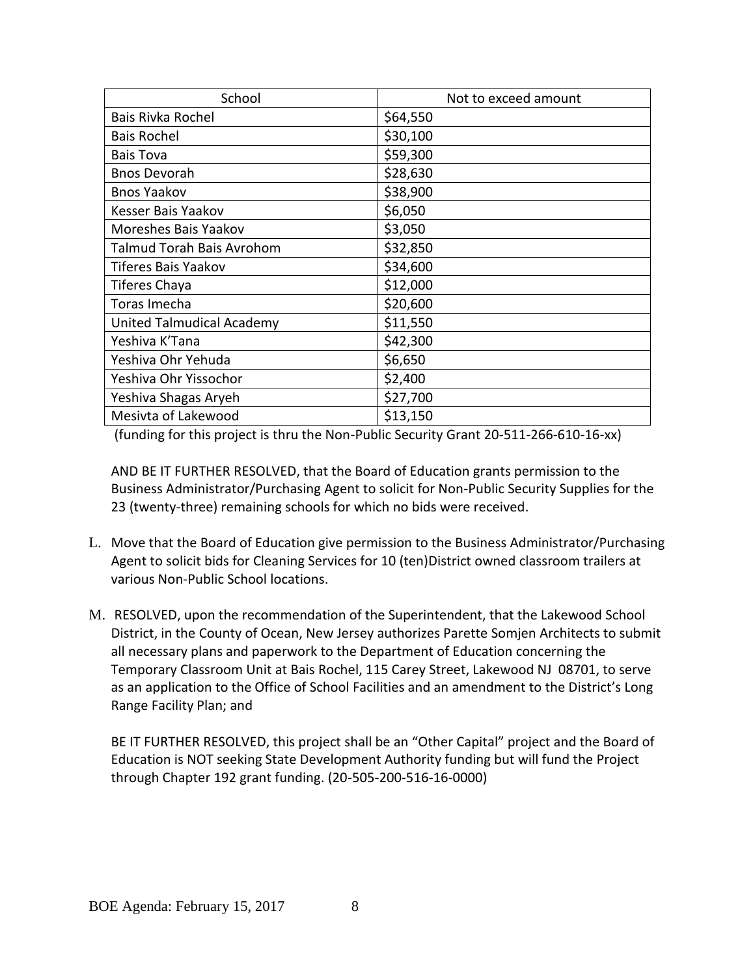| School                           | Not to exceed amount |
|----------------------------------|----------------------|
| Bais Rivka Rochel                | \$64,550             |
| <b>Bais Rochel</b>               | \$30,100             |
| Bais Tova                        | \$59,300             |
| <b>Bnos Devorah</b>              | \$28,630             |
| <b>Bnos Yaakov</b>               | \$38,900             |
| Kesser Bais Yaakov               | \$6,050              |
| Moreshes Bais Yaakov             | \$3,050              |
| <b>Talmud Torah Bais Avrohom</b> | \$32,850             |
| <b>Tiferes Bais Yaakov</b>       | \$34,600             |
| Tiferes Chaya                    | \$12,000             |
| Toras Imecha                     | \$20,600             |
| United Talmudical Academy        | \$11,550             |
| Yeshiva K'Tana                   | \$42,300             |
| Yeshiva Ohr Yehuda               | \$6,650              |
| Yeshiva Ohr Yissochor            | \$2,400              |
| Yeshiva Shagas Aryeh             | \$27,700             |
| Mesivta of Lakewood              | \$13,150             |

(funding for this project is thru the Non-Public Security Grant 20-511-266-610-16-xx)

AND BE IT FURTHER RESOLVED, that the Board of Education grants permission to the Business Administrator/Purchasing Agent to solicit for Non-Public Security Supplies for the 23 (twenty-three) remaining schools for which no bids were received.

- L. Move that the Board of Education give permission to the Business Administrator/Purchasing Agent to solicit bids for Cleaning Services for 10 (ten)District owned classroom trailers at various Non-Public School locations.
- M. RESOLVED, upon the recommendation of the Superintendent, that the Lakewood School District, in the County of Ocean, New Jersey authorizes Parette Somjen Architects to submit all necessary plans and paperwork to the Department of Education concerning the Temporary Classroom Unit at Bais Rochel, 115 Carey Street, Lakewood NJ 08701, to serve as an application to the Office of School Facilities and an amendment to the District's Long Range Facility Plan; and

BE IT FURTHER RESOLVED, this project shall be an "Other Capital" project and the Board of Education is NOT seeking State Development Authority funding but will fund the Project through Chapter 192 grant funding. (20-505-200-516-16-0000)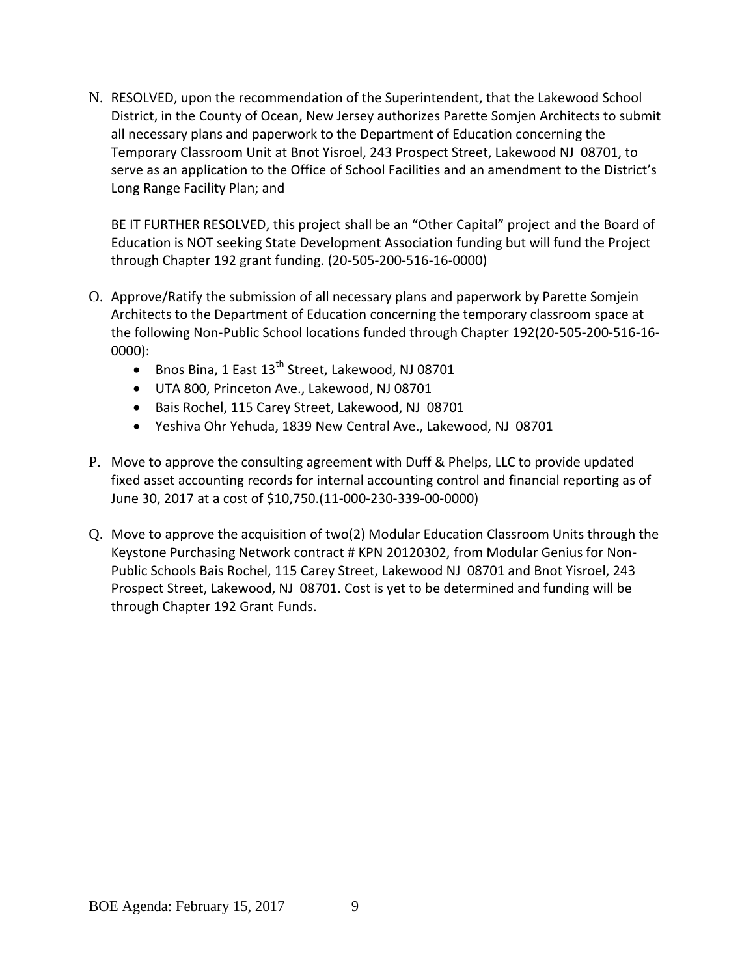N. RESOLVED, upon the recommendation of the Superintendent, that the Lakewood School District, in the County of Ocean, New Jersey authorizes Parette Somjen Architects to submit all necessary plans and paperwork to the Department of Education concerning the Temporary Classroom Unit at Bnot Yisroel, 243 Prospect Street, Lakewood NJ 08701, to serve as an application to the Office of School Facilities and an amendment to the District's Long Range Facility Plan; and

BE IT FURTHER RESOLVED, this project shall be an "Other Capital" project and the Board of Education is NOT seeking State Development Association funding but will fund the Project through Chapter 192 grant funding. (20-505-200-516-16-0000)

- O. Approve/Ratify the submission of all necessary plans and paperwork by Parette Somjein Architects to the Department of Education concerning the temporary classroom space at the following Non-Public School locations funded through Chapter 192(20-505-200-516-16- 0000):
	- $\bullet$  Bnos Bina, 1 East 13<sup>th</sup> Street, Lakewood, NJ 08701
	- UTA 800, Princeton Ave., Lakewood, NJ 08701
	- Bais Rochel, 115 Carey Street, Lakewood, NJ 08701
	- Yeshiva Ohr Yehuda, 1839 New Central Ave., Lakewood, NJ 08701
- P. Move to approve the consulting agreement with Duff & Phelps, LLC to provide updated fixed asset accounting records for internal accounting control and financial reporting as of June 30, 2017 at a cost of \$10,750.(11-000-230-339-00-0000)
- Q. Move to approve the acquisition of two(2) Modular Education Classroom Units through the Keystone Purchasing Network contract # KPN 20120302, from Modular Genius for Non-Public Schools Bais Rochel, 115 Carey Street, Lakewood NJ 08701 and Bnot Yisroel, 243 Prospect Street, Lakewood, NJ 08701. Cost is yet to be determined and funding will be through Chapter 192 Grant Funds.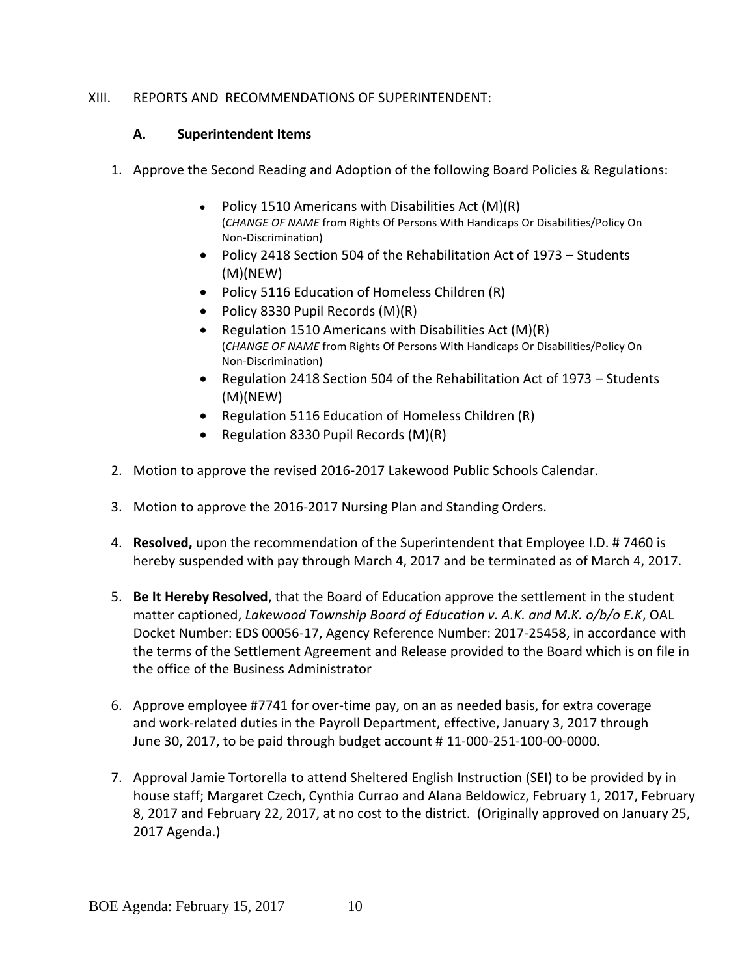# XIII. REPORTS AND RECOMMENDATIONS OF SUPERINTENDENT:

## **A. Superintendent Items**

- 1. Approve the Second Reading and Adoption of the following Board Policies & Regulations:
	- Policy 1510 Americans with Disabilities Act (M)(R) (*CHANGE OF NAME* from Rights Of Persons With Handicaps Or Disabilities/Policy On Non-Discrimination)
	- Policy 2418 Section 504 of the Rehabilitation Act of 1973 Students (M)(NEW)
	- Policy 5116 Education of Homeless Children (R)
	- Policy 8330 Pupil Records (M)(R)
	- Regulation 1510 Americans with Disabilities Act  $(M)(R)$ (*CHANGE OF NAME* from Rights Of Persons With Handicaps Or Disabilities/Policy On Non-Discrimination)
	- Regulation 2418 Section 504 of the Rehabilitation Act of 1973 Students (M)(NEW)
	- Regulation 5116 Education of Homeless Children (R)
	- Regulation 8330 Pupil Records (M)(R)
- 2. Motion to approve the revised 2016-2017 Lakewood Public Schools Calendar.
- 3. Motion to approve the 2016-2017 Nursing Plan and Standing Orders.
- 4. **Resolved,** upon the recommendation of the Superintendent that Employee I.D. # 7460 is hereby suspended with pay through March 4, 2017 and be terminated as of March 4, 2017.
- 5. **Be It Hereby Resolved**, that the Board of Education approve the settlement in the student matter captioned, *Lakewood Township Board of Education v. A.K. and M.K. o/b/o E.K*, OAL Docket Number: EDS 00056-17, Agency Reference Number: 2017-25458, in accordance with the terms of the Settlement Agreement and Release provided to the Board which is on file in the office of the Business Administrator
- 6. Approve employee #7741 for over-time pay, on an as needed basis, for extra coverage and work-related duties in the Payroll Department, effective, January 3, 2017 through June 30, 2017, to be paid through budget account # 11-000-251-100-00-0000.
- 7. Approval Jamie Tortorella to attend Sheltered English Instruction (SEI) to be provided by in house staff; Margaret Czech, Cynthia Currao and Alana Beldowicz, February 1, 2017, February 8, 2017 and February 22, 2017, at no cost to the district. (Originally approved on January 25, 2017 Agenda.)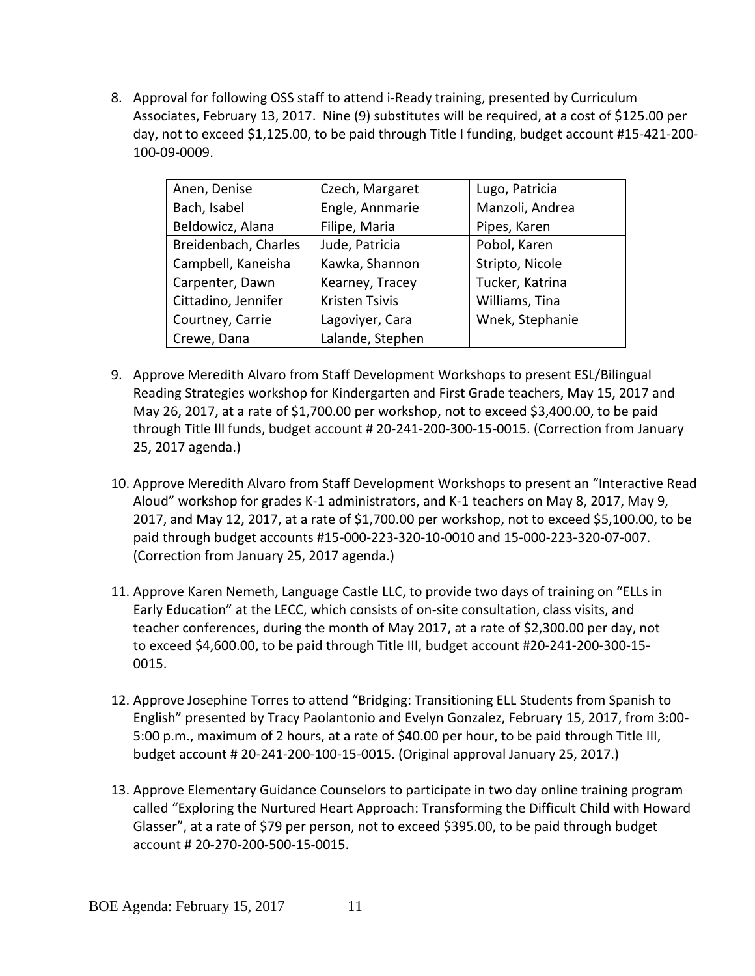8. Approval for following OSS staff to attend i-Ready training, presented by Curriculum Associates, February 13, 2017. Nine (9) substitutes will be required, at a cost of \$125.00 per day, not to exceed \$1,125.00, to be paid through Title I funding, budget account #15-421-200- 100-09-0009.

| Anen, Denise         | Czech, Margaret       | Lugo, Patricia  |
|----------------------|-----------------------|-----------------|
| Bach, Isabel         | Engle, Annmarie       | Manzoli, Andrea |
| Beldowicz, Alana     | Filipe, Maria         | Pipes, Karen    |
| Breidenbach, Charles | Jude, Patricia        | Pobol, Karen    |
| Campbell, Kaneisha   | Kawka, Shannon        | Stripto, Nicole |
| Carpenter, Dawn      | Kearney, Tracey       | Tucker, Katrina |
| Cittadino, Jennifer  | <b>Kristen Tsivis</b> | Williams, Tina  |
| Courtney, Carrie     | Lagoviyer, Cara       | Wnek, Stephanie |
| Crewe, Dana          | Lalande, Stephen      |                 |

- 9. Approve Meredith Alvaro from Staff Development Workshops to present ESL/Bilingual Reading Strategies workshop for Kindergarten and First Grade teachers, May 15, 2017 and May 26, 2017, at a rate of \$1,700.00 per workshop, not to exceed \$3,400.00, to be paid through Title lll funds, budget account # 20-241-200-300-15-0015. (Correction from January 25, 2017 agenda.)
- 10. Approve Meredith Alvaro from Staff Development Workshops to present an "Interactive Read Aloud" workshop for grades K-1 administrators, and K-1 teachers on May 8, 2017, May 9, 2017, and May 12, 2017, at a rate of \$1,700.00 per workshop, not to exceed \$5,100.00, to be paid through budget accounts #15-000-223-320-10-0010 and 15-000-223-320-07-007. (Correction from January 25, 2017 agenda.)
- 11. Approve Karen Nemeth, Language Castle LLC, to provide two days of training on "ELLs in Early Education" at the LECC, which consists of on-site consultation, class visits, and teacher conferences, during the month of May 2017, at a rate of \$2,300.00 per day, not to exceed \$4,600.00, to be paid through Title III, budget account #20-241-200-300-15- 0015.
- 12. Approve Josephine Torres to attend "Bridging: Transitioning ELL Students from Spanish to English" presented by Tracy Paolantonio and Evelyn Gonzalez, February 15, 2017, from 3:00- 5:00 p.m., maximum of 2 hours, at a rate of \$40.00 per hour, to be paid through Title III, budget account # 20-241-200-100-15-0015. (Original approval January 25, 2017.)
- 13. Approve Elementary Guidance Counselors to participate in two day online training program called "Exploring the Nurtured Heart Approach: Transforming the Difficult Child with Howard Glasser", at a rate of \$79 per person, not to exceed \$395.00, to be paid through budget account # 20-270-200-500-15-0015.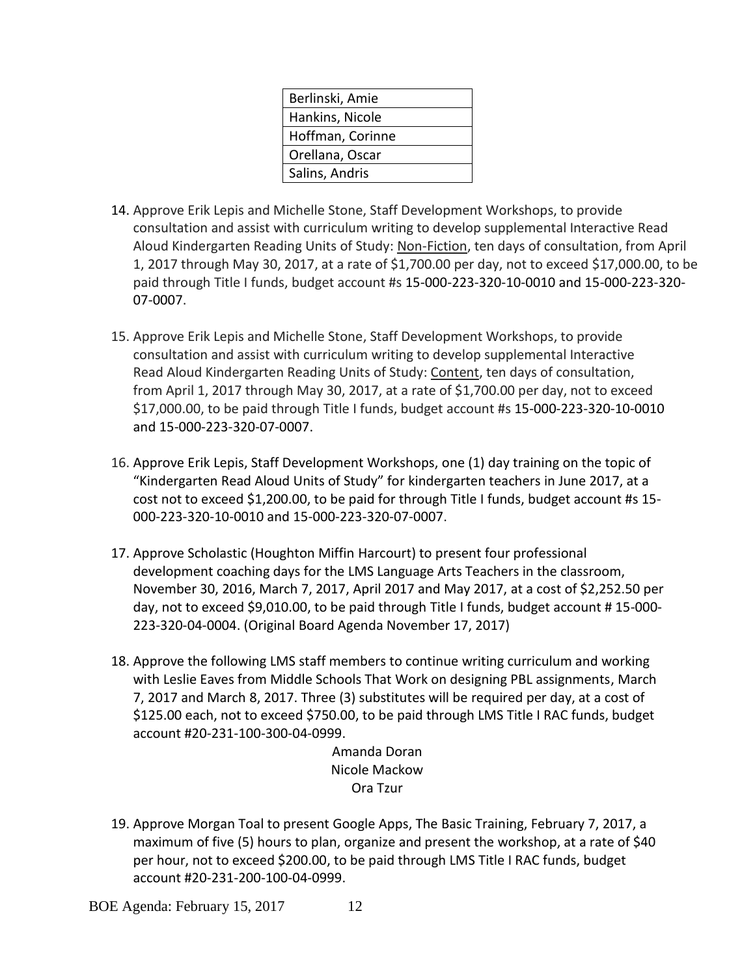| Berlinski, Amie  |
|------------------|
| Hankins, Nicole  |
| Hoffman, Corinne |
| Orellana, Oscar  |
| Salins, Andris   |

- 14. Approve Erik Lepis and Michelle Stone, Staff Development Workshops, to provide consultation and assist with curriculum writing to develop supplemental Interactive Read Aloud Kindergarten Reading Units of Study: Non-Fiction, ten days of consultation, from April 1, 2017 through May 30, 2017, at a rate of \$1,700.00 per day, not to exceed \$17,000.00, to be paid through Title I funds, budget account #s 15-000-223-320-10-0010 and 15-000-223-320- 07-0007.
- 15. Approve Erik Lepis and Michelle Stone, Staff Development Workshops, to provide consultation and assist with curriculum writing to develop supplemental Interactive Read Aloud Kindergarten Reading Units of Study: Content, ten days of consultation, from April 1, 2017 through May 30, 2017, at a rate of \$1,700.00 per day, not to exceed \$17,000.00, to be paid through Title I funds, budget account #s 15-000-223-320-10-0010 and 15-000-223-320-07-0007.
- 16. Approve Erik Lepis, Staff Development Workshops, one (1) day training on the topic of "Kindergarten Read Aloud Units of Study" for kindergarten teachers in June 2017, at a cost not to exceed \$1,200.00, to be paid for through Title I funds, budget account #s 15- 000-223-320-10-0010 and 15-000-223-320-07-0007.
- 17. Approve Scholastic (Houghton Miffin Harcourt) to present four professional development coaching days for the LMS Language Arts Teachers in the classroom, November 30, 2016, March 7, 2017, April 2017 and May 2017, at a cost of \$2,252.50 per day, not to exceed \$9,010.00, to be paid through Title I funds, budget account # 15-000- 223-320-04-0004. (Original Board Agenda November 17, 2017)
- 18. Approve the following LMS staff members to continue writing curriculum and working with Leslie Eaves from Middle Schools That Work on designing PBL assignments, March 7, 2017 and March 8, 2017. Three (3) substitutes will be required per day, at a cost of \$125.00 each, not to exceed \$750.00, to be paid through LMS Title I RAC funds, budget account #20-231-100-300-04-0999.

Amanda Doran Nicole Mackow Ora Tzur

19. Approve Morgan Toal to present Google Apps, The Basic Training, February 7, 2017, a maximum of five (5) hours to plan, organize and present the workshop, at a rate of \$40 per hour, not to exceed \$200.00, to be paid through LMS Title I RAC funds, budget account #20-231-200-100-04-0999.

BOE Agenda: February 15, 2017 12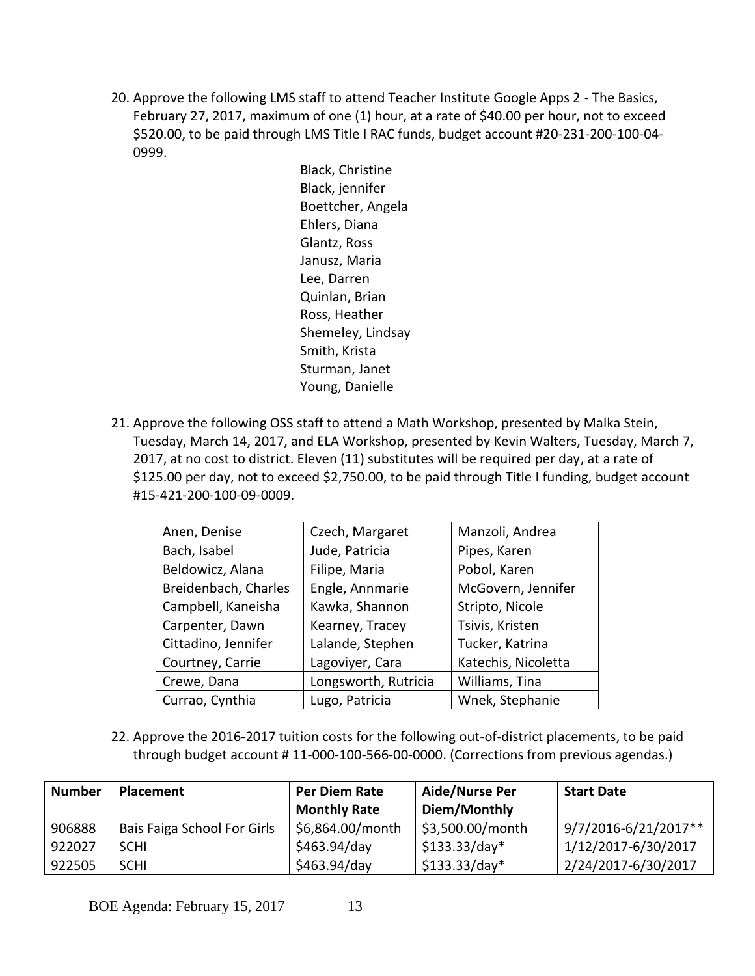20. Approve the following LMS staff to attend Teacher Institute Google Apps 2 - The Basics, February 27, 2017, maximum of one (1) hour, at a rate of \$40.00 per hour, not to exceed \$520.00, to be paid through LMS Title I RAC funds, budget account #20-231-200-100-04- 0999.

> Black, Christine Black, jennifer Boettcher, Angela Ehlers, Diana Glantz, Ross Janusz, Maria Lee, Darren Quinlan, Brian Ross, Heather Shemeley, Lindsay Smith, Krista Sturman, Janet Young, Danielle

21. Approve the following OSS staff to attend a Math Workshop, presented by Malka Stein, Tuesday, March 14, 2017, and ELA Workshop, presented by Kevin Walters, Tuesday, March 7, 2017, at no cost to district. Eleven (11) substitutes will be required per day, at a rate of \$125.00 per day, not to exceed \$2,750.00, to be paid through Title I funding, budget account #15-421-200-100-09-0009.

| Anen, Denise         | Czech, Margaret      | Manzoli, Andrea     |
|----------------------|----------------------|---------------------|
| Bach, Isabel         | Jude, Patricia       | Pipes, Karen        |
| Beldowicz, Alana     | Filipe, Maria        | Pobol, Karen        |
| Breidenbach, Charles | Engle, Annmarie      | McGovern, Jennifer  |
| Campbell, Kaneisha   | Kawka, Shannon       | Stripto, Nicole     |
| Carpenter, Dawn      | Kearney, Tracey      | Tsivis, Kristen     |
| Cittadino, Jennifer  | Lalande, Stephen     | Tucker, Katrina     |
| Courtney, Carrie     | Lagoviyer, Cara      | Katechis, Nicoletta |
| Crewe, Dana          | Longsworth, Rutricia | Williams, Tina      |
| Currao, Cynthia      | Lugo, Patricia       | Wnek, Stephanie     |

22. Approve the 2016-2017 tuition costs for the following out-of-district placements, to be paid through budget account # 11-000-100-566-00-0000. (Corrections from previous agendas.)

| <b>Number</b> | Placement                   | Per Diem Rate       | <b>Aide/Nurse Per</b> | <b>Start Date</b>    |
|---------------|-----------------------------|---------------------|-----------------------|----------------------|
|               |                             | <b>Monthly Rate</b> | Diem/Monthly          |                      |
| 906888        | Bais Faiga School For Girls | \$6,864.00/month    | \$3,500.00/month      | 9/7/2016-6/21/2017** |
| 922027        | <b>SCHI</b>                 | \$463.94/day        | $$133.33/day*$        | 1/12/2017-6/30/2017  |
| 922505        | <b>SCHI</b>                 | \$463.94/day        | $$133.33/day*$        | 2/24/2017-6/30/2017  |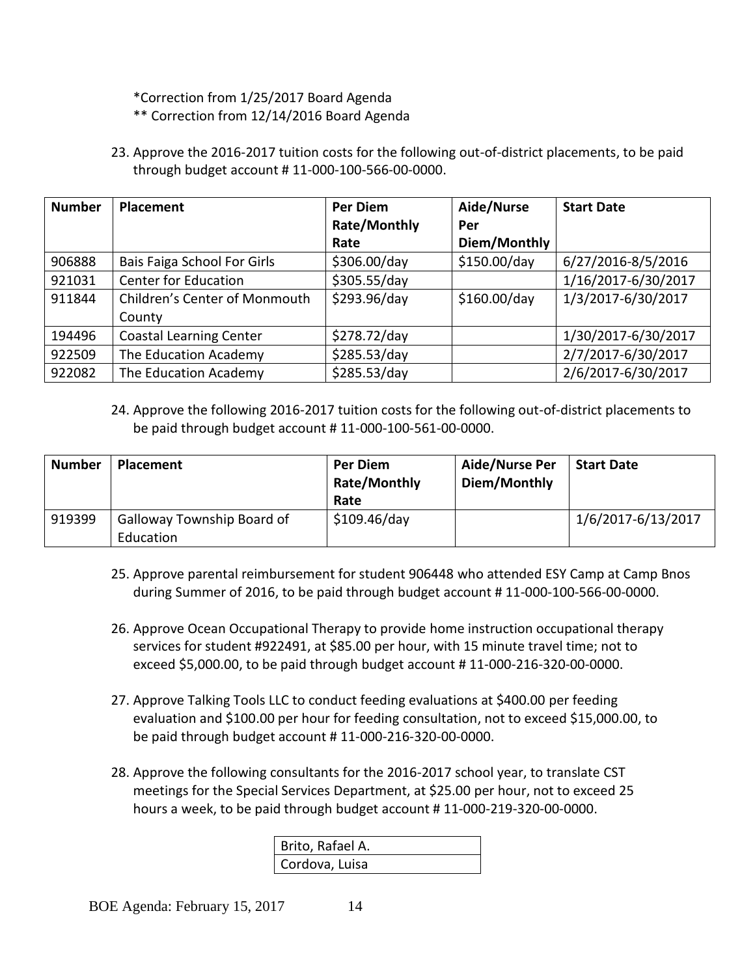\*Correction from 1/25/2017 Board Agenda

- \*\* Correction from 12/14/2016 Board Agenda
- 23. Approve the 2016-2017 tuition costs for the following out-of-district placements, to be paid through budget account # 11-000-100-566-00-0000.

| <b>Number</b> | <b>Placement</b>               | Per Diem            | Aide/Nurse   | <b>Start Date</b>   |
|---------------|--------------------------------|---------------------|--------------|---------------------|
|               |                                | <b>Rate/Monthly</b> | Per          |                     |
|               |                                | Rate                | Diem/Monthly |                     |
| 906888        | Bais Faiga School For Girls    | \$306.00/day        | \$150.00/day | 6/27/2016-8/5/2016  |
| 921031        | <b>Center for Education</b>    | \$305.55/day        |              | 1/16/2017-6/30/2017 |
| 911844        | Children's Center of Monmouth  | \$293.96/day        | \$160.00/day | 1/3/2017-6/30/2017  |
|               | County                         |                     |              |                     |
| 194496        | <b>Coastal Learning Center</b> | \$278.72/day        |              | 1/30/2017-6/30/2017 |
| 922509        | The Education Academy          | \$285.53/day        |              | 2/7/2017-6/30/2017  |
| 922082        | The Education Academy          | \$285.53/day        |              | 2/6/2017-6/30/2017  |

# 24. Approve the following 2016-2017 tuition costs for the following out-of-district placements to be paid through budget account # 11-000-100-561-00-0000.

| <b>Number</b> | <b>Placement</b>                        | <b>Per Diem</b><br><b>Rate/Monthly</b><br>Rate | Aide/Nurse Per<br>Diem/Monthly | <b>Start Date</b>  |
|---------------|-----------------------------------------|------------------------------------------------|--------------------------------|--------------------|
| 919399        | Galloway Township Board of<br>Education | \$109.46/day                                   |                                | 1/6/2017-6/13/2017 |

- 25. Approve parental reimbursement for student 906448 who attended ESY Camp at Camp Bnos during Summer of 2016, to be paid through budget account # 11-000-100-566-00-0000.
- 26. Approve Ocean Occupational Therapy to provide home instruction occupational therapy services for student #922491, at \$85.00 per hour, with 15 minute travel time; not to exceed \$5,000.00, to be paid through budget account # 11-000-216-320-00-0000.
- 27. Approve Talking Tools LLC to conduct feeding evaluations at \$400.00 per feeding evaluation and \$100.00 per hour for feeding consultation, not to exceed \$15,000.00, to be paid through budget account # 11-000-216-320-00-0000.
- 28. Approve the following consultants for the 2016-2017 school year, to translate CST meetings for the Special Services Department, at \$25.00 per hour, not to exceed 25 hours a week, to be paid through budget account # 11-000-219-320-00-0000.

| Brito, Rafael A. |  |
|------------------|--|
| Cordova, Luisa   |  |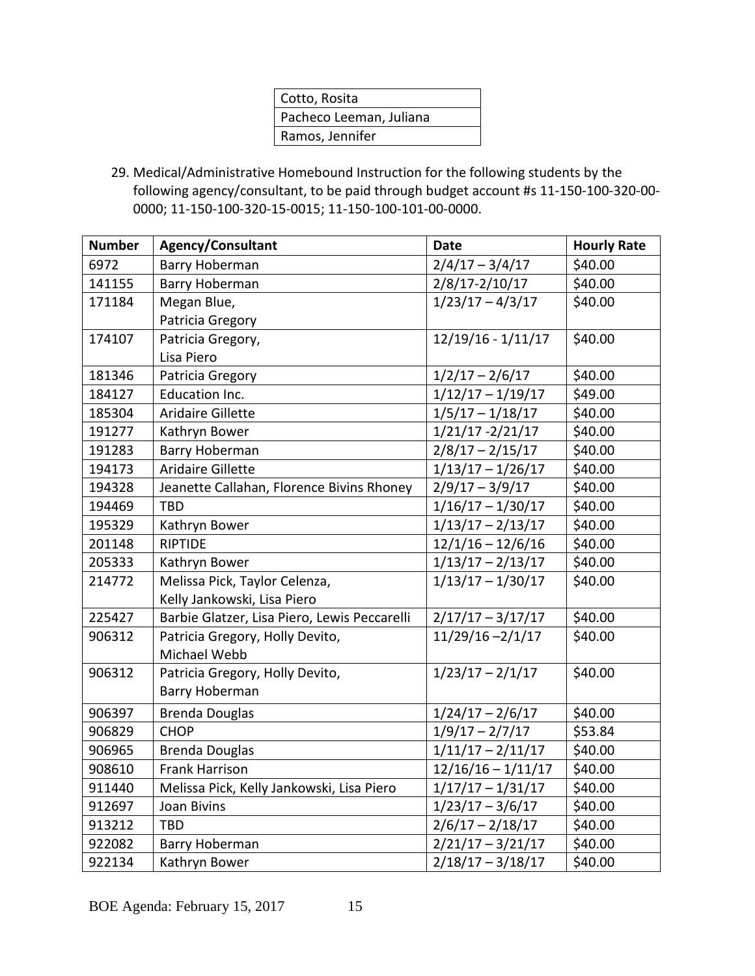| Cotto, Rosita           |
|-------------------------|
| Pacheco Leeman, Juliana |
| Ramos, Jennifer         |
|                         |

29. Medical/Administrative Homebound Instruction for the following students by the following agency/consultant, to be paid through budget account #s 11-150-100-320-00- 0000; 11-150-100-320-15-0015; 11-150-100-101-00-0000.

| <b>Number</b> | <b>Agency/Consultant</b>                     | <b>Date</b>                          | <b>Hourly Rate</b> |
|---------------|----------------------------------------------|--------------------------------------|--------------------|
| 6972          | <b>Barry Hoberman</b>                        | $2/4/17 - 3/4/17$                    | \$40.00            |
| 141155        | Barry Hoberman                               | $2/8/17 - 2/10/17$                   | \$40.00            |
| 171184        | Megan Blue,                                  | $1/23/17 - 4/3/17$                   | \$40.00            |
|               | Patricia Gregory                             |                                      |                    |
| 174107        | Patricia Gregory,                            | $12/19/16 - 1/11/17$                 | \$40.00            |
|               | Lisa Piero                                   |                                      |                    |
| 181346        | Patricia Gregory                             | $1/2/17 - 2/6/17$                    | \$40.00            |
| 184127        | Education Inc.                               | $1/12/17 - 1/19/17$                  | \$49.00            |
| 185304        | <b>Aridaire Gillette</b>                     | $1/5/17 - 1/18/17$                   | \$40.00            |
| 191277        | Kathryn Bower                                | $1/21/17 - 2/21/17$                  | \$40.00            |
| 191283        | Barry Hoberman                               | $2/8/17 - 2/15/17$                   | \$40.00            |
| 194173        | <b>Aridaire Gillette</b>                     | $1/13/17 - 1/26/17$                  | \$40.00            |
| 194328        | Jeanette Callahan, Florence Bivins Rhoney    | $2/9/17 - 3/9/17$                    | \$40.00            |
| 194469        | TBD                                          | $1/16/17 - 1/30/17$                  | \$40.00            |
| 195329        | Kathryn Bower                                | $1/13/17 - 2/13/17$                  | \$40.00            |
| 201148        | <b>RIPTIDE</b>                               | $12/1/16 - 12/6/16$                  | \$40.00            |
| 205333        | Kathryn Bower                                | $1/13/17 - 2/13/17$                  | \$40.00            |
| 214772        | Melissa Pick, Taylor Celenza,                | $\frac{1}{123/17} - \frac{1}{30/17}$ | \$40.00            |
|               | Kelly Jankowski, Lisa Piero                  |                                      |                    |
| 225427        | Barbie Glatzer, Lisa Piero, Lewis Peccarelli | $2/17/17 - 3/17/17$                  | \$40.00            |
| 906312        | Patricia Gregory, Holly Devito,              | $11/29/16 - 2/1/17$                  | \$40.00            |
|               | Michael Webb                                 |                                      |                    |
| 906312        | Patricia Gregory, Holly Devito,              | $1/23/17 - 2/1/17$                   | \$40.00            |
|               | Barry Hoberman                               |                                      |                    |
| 906397        | <b>Brenda Douglas</b>                        | $1/24/17 - 2/6/17$                   | \$40.00            |
| 906829        | <b>CHOP</b>                                  | $1/9/17 - 2/7/17$                    | \$53.84            |
| 906965        | <b>Brenda Douglas</b>                        | $1/11/17 - 2/11/17$                  | \$40.00            |
| 908610        | <b>Frank Harrison</b>                        | $12/16/16 - 1/11/17$                 | \$40.00            |
| 911440        | Melissa Pick, Kelly Jankowski, Lisa Piero    | $1/17/17 - 1/31/17$                  | \$40.00            |
| 912697        | <b>Joan Bivins</b>                           | $1/23/17 - 3/6/17$                   | \$40.00            |
| 913212        | <b>TBD</b>                                   | $2/6/17 - 2/18/17$                   | \$40.00            |
| 922082        | Barry Hoberman                               | $2/21/17 - 3/21/17$                  | \$40.00            |
| 922134        | Kathryn Bower                                | $2/18/17 - 3/18/17$                  | \$40.00            |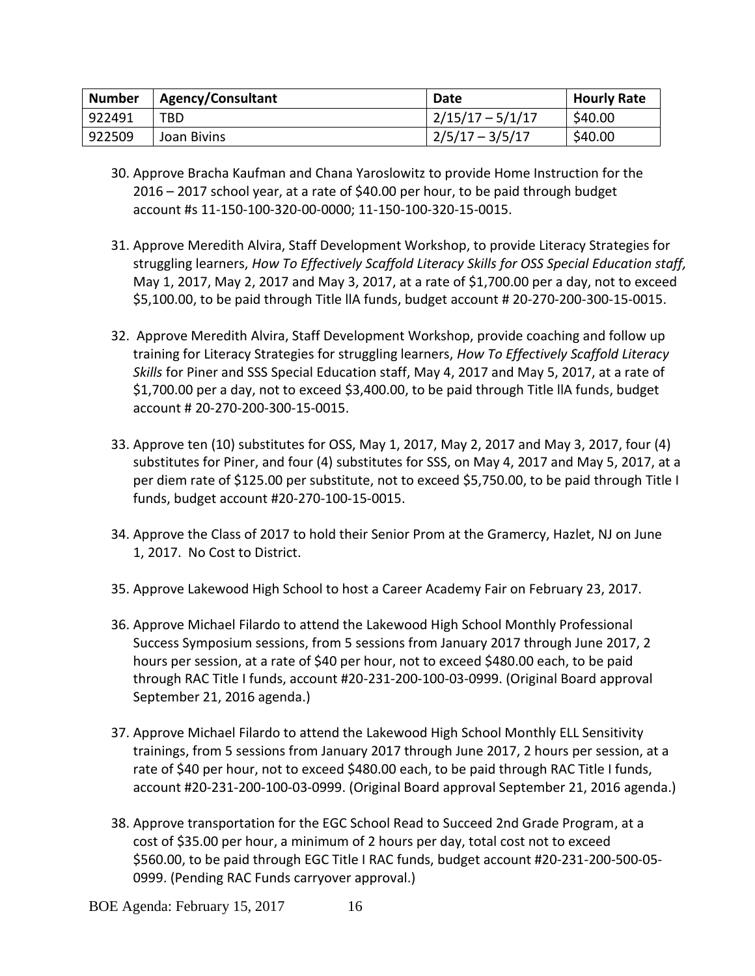| <b>Number</b> | <b>Agency/Consultant</b> | <b>Date</b>        | <b>Hourly Rate</b> |
|---------------|--------------------------|--------------------|--------------------|
| 922491        | TBD                      | $2/15/17 - 5/1/17$ | \$40.00            |
| 922509        | Joan Bivins              | $2/5/17 - 3/5/17$  | \$40.00            |

- 30. Approve Bracha Kaufman and Chana Yaroslowitz to provide Home Instruction for the 2016 – 2017 school year, at a rate of \$40.00 per hour, to be paid through budget account #s 11-150-100-320-00-0000; 11-150-100-320-15-0015.
- 31. Approve Meredith Alvira, Staff Development Workshop, to provide Literacy Strategies for struggling learners, *How To Effectively Scaffold Literacy Skills for OSS Special Education staff,* May 1, 2017, May 2, 2017 and May 3, 2017, at a rate of \$1,700.00 per a day, not to exceed \$5,100.00, to be paid through Title llA funds, budget account # 20-270-200-300-15-0015.
- 32. Approve Meredith Alvira, Staff Development Workshop, provide coaching and follow up training for Literacy Strategies for struggling learners, *How To Effectively Scaffold Literacy Skills* for Piner and SSS Special Education staff, May 4, 2017 and May 5, 2017, at a rate of \$1,700.00 per a day, not to exceed \$3,400.00, to be paid through Title llA funds, budget account # 20-270-200-300-15-0015.
- 33. Approve ten (10) substitutes for OSS, May 1, 2017, May 2, 2017 and May 3, 2017, four (4) substitutes for Piner, and four (4) substitutes for SSS, on May 4, 2017 and May 5, 2017, at a per diem rate of \$125.00 per substitute, not to exceed \$5,750.00, to be paid through Title I funds, budget account #20-270-100-15-0015.
- 34. Approve the Class of 2017 to hold their Senior Prom at the Gramercy, Hazlet, NJ on June 1, 2017. No Cost to District.
- 35. Approve Lakewood High School to host a Career Academy Fair on February 23, 2017.
- 36. Approve Michael Filardo to attend the Lakewood High School Monthly Professional Success Symposium sessions, from 5 sessions from January 2017 through June 2017, 2 hours per session, at a rate of \$40 per hour, not to exceed \$480.00 each, to be paid through RAC Title I funds, account #20-231-200-100-03-0999. (Original Board approval September 21, 2016 agenda.)
- 37. Approve Michael Filardo to attend the Lakewood High School Monthly ELL Sensitivity trainings, from 5 sessions from January 2017 through June 2017, 2 hours per session, at a rate of \$40 per hour, not to exceed \$480.00 each, to be paid through RAC Title I funds, account #20-231-200-100-03-0999. (Original Board approval September 21, 2016 agenda.)
- 38. Approve transportation for the EGC School Read to Succeed 2nd Grade Program, at a cost of \$35.00 per hour, a minimum of 2 hours per day, total cost not to exceed \$560.00, to be paid through EGC Title I RAC funds, budget account #20-231-200-500-05- 0999. (Pending RAC Funds carryover approval.)

BOE Agenda: February 15, 2017 16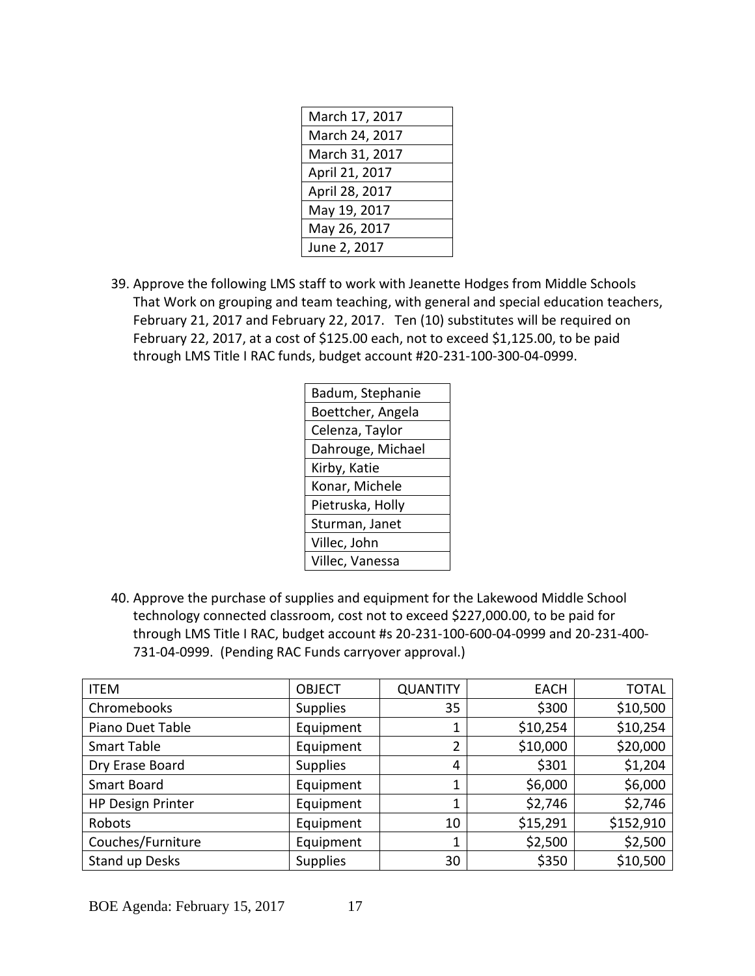| March 17, 2017 |
|----------------|
| March 24, 2017 |
| March 31, 2017 |
| April 21, 2017 |
| April 28, 2017 |
| May 19, 2017   |
| May 26, 2017   |
| June 2, 2017   |

39. Approve the following LMS staff to work with Jeanette Hodges from Middle Schools That Work on grouping and team teaching, with general and special education teachers, February 21, 2017 and February 22, 2017. Ten (10) substitutes will be required on February 22, 2017, at a cost of \$125.00 each, not to exceed \$1,125.00, to be paid through LMS Title I RAC funds, budget account #20-231-100-300-04-0999.

| Badum, Stephanie  |
|-------------------|
| Boettcher, Angela |
| Celenza, Taylor   |
| Dahrouge, Michael |
| Kirby, Katie      |
| Konar, Michele    |
| Pietruska, Holly  |
| Sturman, Janet    |
| Villec, John      |
| Villec, Vanessa   |
|                   |

40. Approve the purchase of supplies and equipment for the Lakewood Middle School technology connected classroom, cost not to exceed \$227,000.00, to be paid for through LMS Title I RAC, budget account #s 20-231-100-600-04-0999 and 20-231-400- 731-04-0999. (Pending RAC Funds carryover approval.)

| <b>ITEM</b>              | <b>OBJECT</b>   | <b>QUANTITY</b> | <b>EACH</b> | <b>TOTAL</b> |
|--------------------------|-----------------|-----------------|-------------|--------------|
| Chromebooks              | <b>Supplies</b> | 35              | \$300       | \$10,500     |
| Piano Duet Table         | Equipment       |                 | \$10,254    | \$10,254     |
| Smart Table              | Equipment       | 2               | \$10,000    | \$20,000     |
| Dry Erase Board          | <b>Supplies</b> | 4               | \$301       | \$1,204      |
| Smart Board              | Equipment       |                 | \$6,000     | \$6,000      |
| <b>HP Design Printer</b> | Equipment       | 1               | \$2,746     | \$2,746      |
| Robots                   | Equipment       | 10              | \$15,291    | \$152,910    |
| Couches/Furniture        | Equipment       |                 | \$2,500     | \$2,500      |
| Stand up Desks           | <b>Supplies</b> | 30              | \$350       | \$10,500     |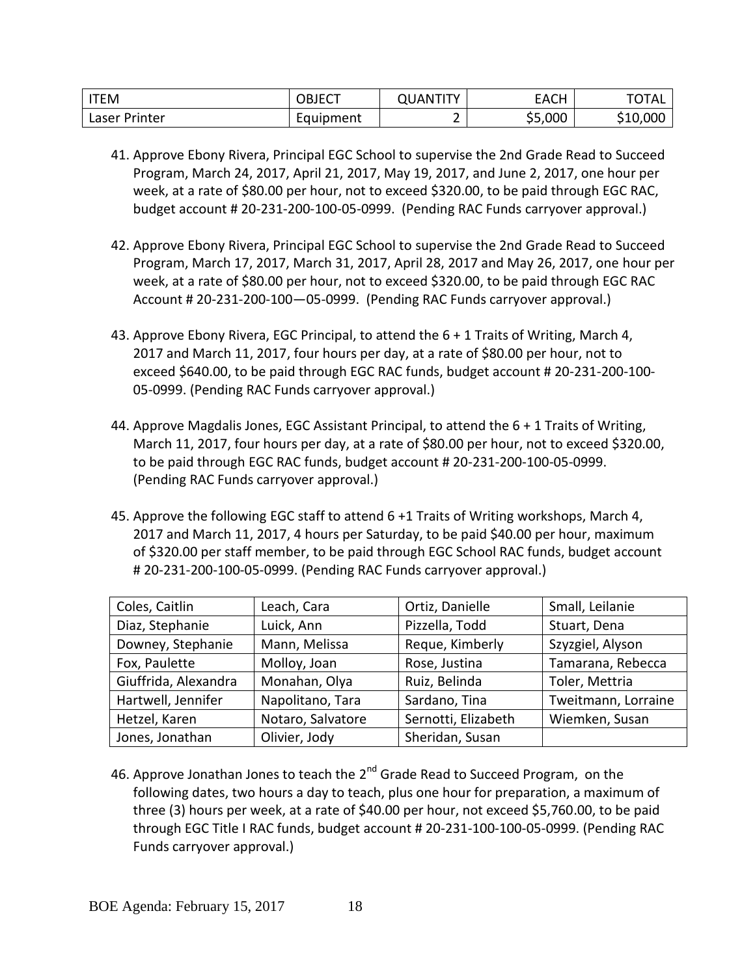| <b>ITEM</b>      | OBJECT    | T<br>JAN" | $\Gamma$<br>EACH | <b>TOTAL</b> |
|------------------|-----------|-----------|------------------|--------------|
| Printer<br>Laser | Equipment |           | \$5,000          | \$10,000     |

- 41. Approve Ebony Rivera, Principal EGC School to supervise the 2nd Grade Read to Succeed Program, March 24, 2017, April 21, 2017, May 19, 2017, and June 2, 2017, one hour per week, at a rate of \$80.00 per hour, not to exceed \$320.00, to be paid through EGC RAC, budget account # 20-231-200-100-05-0999. (Pending RAC Funds carryover approval.)
- 42. Approve Ebony Rivera, Principal EGC School to supervise the 2nd Grade Read to Succeed Program, March 17, 2017, March 31, 2017, April 28, 2017 and May 26, 2017, one hour per week, at a rate of \$80.00 per hour, not to exceed \$320.00, to be paid through EGC RAC Account # 20-231-200-100—05-0999. (Pending RAC Funds carryover approval.)
- 43. Approve Ebony Rivera, EGC Principal, to attend the 6 + 1 Traits of Writing, March 4, 2017 and March 11, 2017, four hours per day, at a rate of \$80.00 per hour, not to exceed \$640.00, to be paid through EGC RAC funds, budget account # 20-231-200-100- 05-0999. (Pending RAC Funds carryover approval.)
- 44. Approve Magdalis Jones, EGC Assistant Principal, to attend the 6 + 1 Traits of Writing, March 11, 2017, four hours per day, at a rate of \$80.00 per hour, not to exceed \$320.00, to be paid through EGC RAC funds, budget account # 20-231-200-100-05-0999. (Pending RAC Funds carryover approval.)
- 45. Approve the following EGC staff to attend 6 +1 Traits of Writing workshops, March 4, 2017 and March 11, 2017, 4 hours per Saturday, to be paid \$40.00 per hour, maximum of \$320.00 per staff member, to be paid through EGC School RAC funds, budget account # 20-231-200-100-05-0999. (Pending RAC Funds carryover approval.)

| Coles, Caitlin       | Leach, Cara       | Ortiz, Danielle     | Small, Leilanie     |
|----------------------|-------------------|---------------------|---------------------|
| Diaz, Stephanie      | Luick, Ann        | Pizzella, Todd      | Stuart, Dena        |
| Downey, Stephanie    | Mann, Melissa     | Reque, Kimberly     | Szyzgiel, Alyson    |
| Fox, Paulette        | Molloy, Joan      | Rose, Justina       | Tamarana, Rebecca   |
| Giuffrida, Alexandra | Monahan, Olya     | Ruiz, Belinda       | Toler, Mettria      |
| Hartwell, Jennifer   | Napolitano, Tara  | Sardano, Tina       | Tweitmann, Lorraine |
| Hetzel, Karen        | Notaro, Salvatore | Sernotti, Elizabeth | Wiemken, Susan      |
| Jones, Jonathan      | Olivier, Jody     | Sheridan, Susan     |                     |

46. Approve Jonathan Jones to teach the 2<sup>nd</sup> Grade Read to Succeed Program, on the following dates, two hours a day to teach, plus one hour for preparation, a maximum of three (3) hours per week, at a rate of \$40.00 per hour, not exceed \$5,760.00, to be paid through EGC Title I RAC funds, budget account # 20-231-100-100-05-0999. (Pending RAC Funds carryover approval.)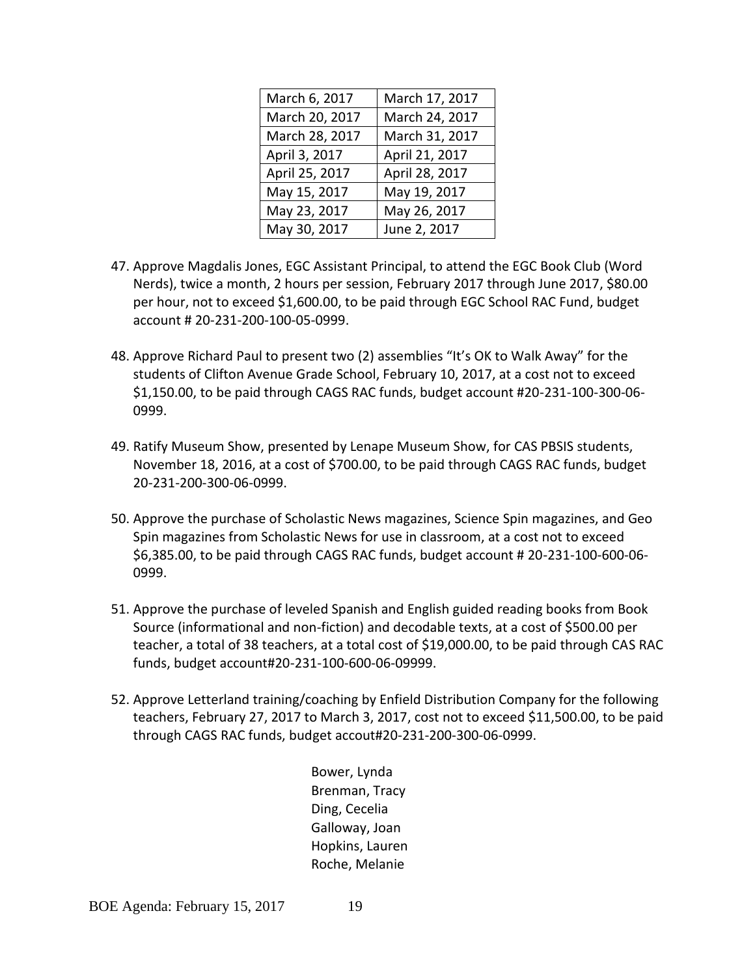| March 6, 2017  | March 17, 2017 |
|----------------|----------------|
| March 20, 2017 | March 24, 2017 |
| March 28, 2017 | March 31, 2017 |
| April 3, 2017  | April 21, 2017 |
| April 25, 2017 | April 28, 2017 |
| May 15, 2017   | May 19, 2017   |
| May 23, 2017   | May 26, 2017   |
| May 30, 2017   | June 2, 2017   |

- 47. Approve Magdalis Jones, EGC Assistant Principal, to attend the EGC Book Club (Word Nerds), twice a month, 2 hours per session, February 2017 through June 2017, \$80.00 per hour, not to exceed \$1,600.00, to be paid through EGC School RAC Fund, budget account # 20-231-200-100-05-0999.
- 48. Approve Richard Paul to present two (2) assemblies "It's OK to Walk Away" for the students of Clifton Avenue Grade School, February 10, 2017, at a cost not to exceed \$1,150.00, to be paid through CAGS RAC funds, budget account #20-231-100-300-06- 0999.
- 49. Ratify Museum Show, presented by Lenape Museum Show, for CAS PBSIS students, November 18, 2016, at a cost of \$700.00, to be paid through CAGS RAC funds, budget 20-231-200-300-06-0999.
- 50. Approve the purchase of Scholastic News magazines, Science Spin magazines, and Geo Spin magazines from Scholastic News for use in classroom, at a cost not to exceed \$6,385.00, to be paid through CAGS RAC funds, budget account # 20-231-100-600-06- 0999.
- 51. Approve the purchase of leveled Spanish and English guided reading books from Book Source (informational and non-fiction) and decodable texts, at a cost of \$500.00 per teacher, a total of 38 teachers, at a total cost of \$19,000.00, to be paid through CAS RAC funds, budget account#20-231-100-600-06-09999.
- 52. Approve Letterland training/coaching by Enfield Distribution Company for the following teachers, February 27, 2017 to March 3, 2017, cost not to exceed \$11,500.00, to be paid through CAGS RAC funds, budget accout#20-231-200-300-06-0999.

Bower, Lynda Brenman, Tracy Ding, Cecelia Galloway, Joan Hopkins, Lauren Roche, Melanie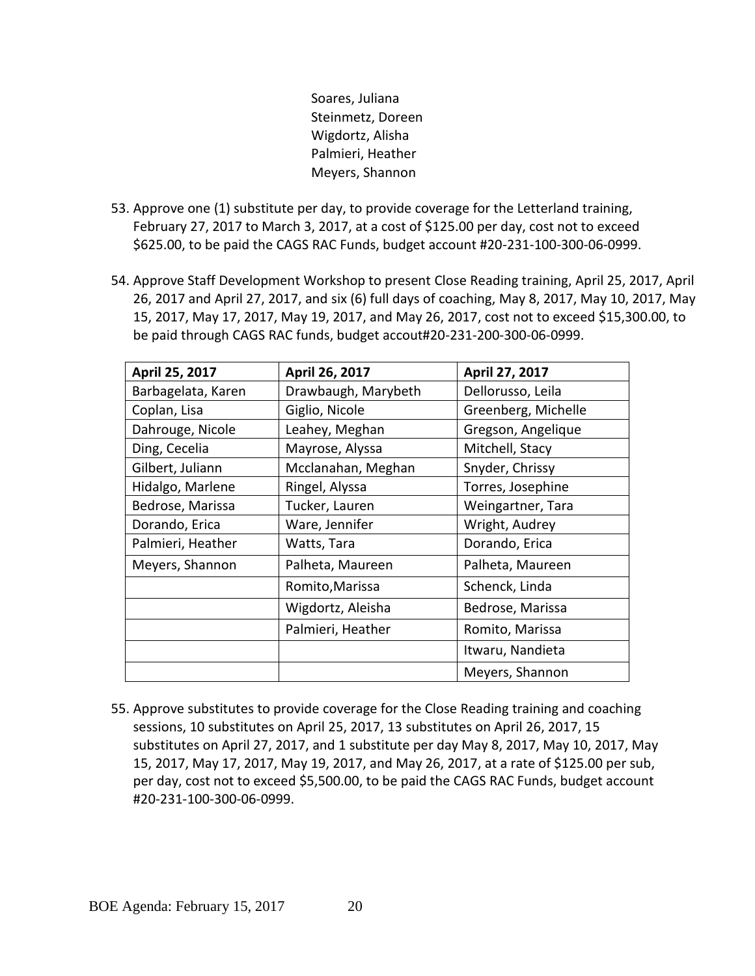Soares, Juliana Steinmetz, Doreen Wigdortz, Alisha Palmieri, Heather Meyers, Shannon

- 53. Approve one (1) substitute per day, to provide coverage for the Letterland training, February 27, 2017 to March 3, 2017, at a cost of \$125.00 per day, cost not to exceed \$625.00, to be paid the CAGS RAC Funds, budget account #20-231-100-300-06-0999.
- 54. Approve Staff Development Workshop to present Close Reading training, April 25, 2017, April 26, 2017 and April 27, 2017, and six (6) full days of coaching, May 8, 2017, May 10, 2017, May 15, 2017, May 17, 2017, May 19, 2017, and May 26, 2017, cost not to exceed \$15,300.00, to be paid through CAGS RAC funds, budget accout#20-231-200-300-06-0999.

| April 25, 2017     | April 26, 2017      | April 27, 2017      |
|--------------------|---------------------|---------------------|
| Barbagelata, Karen | Drawbaugh, Marybeth | Dellorusso, Leila   |
| Coplan, Lisa       | Giglio, Nicole      | Greenberg, Michelle |
| Dahrouge, Nicole   | Leahey, Meghan      | Gregson, Angelique  |
| Ding, Cecelia      | Mayrose, Alyssa     | Mitchell, Stacy     |
| Gilbert, Juliann   | Mcclanahan, Meghan  | Snyder, Chrissy     |
| Hidalgo, Marlene   | Ringel, Alyssa      | Torres, Josephine   |
| Bedrose, Marissa   | Tucker, Lauren      | Weingartner, Tara   |
| Dorando, Erica     | Ware, Jennifer      | Wright, Audrey      |
| Palmieri, Heather  | Watts, Tara         | Dorando, Erica      |
| Meyers, Shannon    | Palheta, Maureen    | Palheta, Maureen    |
|                    | Romito, Marissa     | Schenck, Linda      |
|                    | Wigdortz, Aleisha   | Bedrose, Marissa    |
|                    | Palmieri, Heather   | Romito, Marissa     |
|                    |                     | Itwaru, Nandieta    |
|                    |                     | Meyers, Shannon     |

55. Approve substitutes to provide coverage for the Close Reading training and coaching sessions, 10 substitutes on April 25, 2017, 13 substitutes on April 26, 2017, 15 substitutes on April 27, 2017, and 1 substitute per day May 8, 2017, May 10, 2017, May 15, 2017, May 17, 2017, May 19, 2017, and May 26, 2017, at a rate of \$125.00 per sub, per day, cost not to exceed \$5,500.00, to be paid the CAGS RAC Funds, budget account #20-231-100-300-06-0999.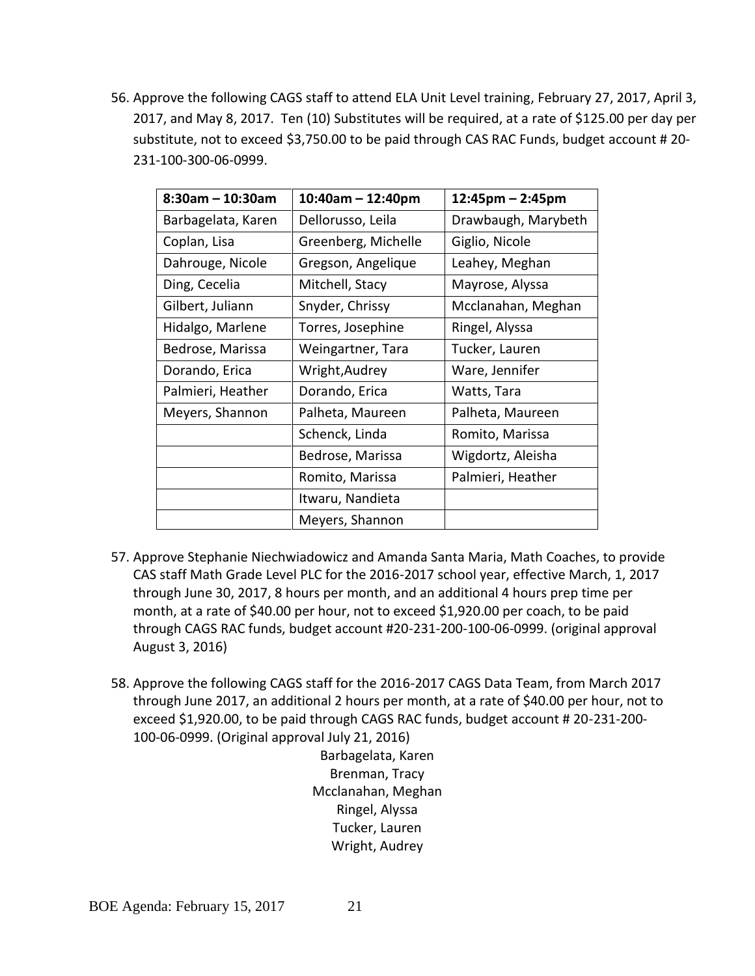56. Approve the following CAGS staff to attend ELA Unit Level training, February 27, 2017, April 3, 2017, and May 8, 2017. Ten (10) Substitutes will be required, at a rate of \$125.00 per day per substitute, not to exceed \$3,750.00 to be paid through CAS RAC Funds, budget account # 20- 231-100-300-06-0999.

| $8:30$ am - 10:30am | $10:40$ am - 12:40pm | $12:45$ pm – 2:45pm |
|---------------------|----------------------|---------------------|
| Barbagelata, Karen  | Dellorusso, Leila    | Drawbaugh, Marybeth |
| Coplan, Lisa        | Greenberg, Michelle  | Giglio, Nicole      |
| Dahrouge, Nicole    | Gregson, Angelique   | Leahey, Meghan      |
| Ding, Cecelia       | Mitchell, Stacy      | Mayrose, Alyssa     |
| Gilbert, Juliann    | Snyder, Chrissy      | Mcclanahan, Meghan  |
| Hidalgo, Marlene    | Torres, Josephine    | Ringel, Alyssa      |
| Bedrose, Marissa    | Weingartner, Tara    | Tucker, Lauren      |
| Dorando, Erica      | Wright, Audrey       | Ware, Jennifer      |
| Palmieri, Heather   | Dorando, Erica       | Watts, Tara         |
| Meyers, Shannon     | Palheta, Maureen     | Palheta, Maureen    |
|                     | Schenck, Linda       | Romito, Marissa     |
|                     | Bedrose, Marissa     | Wigdortz, Aleisha   |
|                     | Romito, Marissa      | Palmieri, Heather   |
|                     | Itwaru, Nandieta     |                     |
|                     | Meyers, Shannon      |                     |

- 57. Approve Stephanie Niechwiadowicz and Amanda Santa Maria, Math Coaches, to provide CAS staff Math Grade Level PLC for the 2016-2017 school year, effective March, 1, 2017 through June 30, 2017, 8 hours per month, and an additional 4 hours prep time per month, at a rate of \$40.00 per hour, not to exceed \$1,920.00 per coach, to be paid through CAGS RAC funds, budget account #20-231-200-100-06-0999. (original approval August 3, 2016)
- 58. Approve the following CAGS staff for the 2016-2017 CAGS Data Team, from March 2017 through June 2017, an additional 2 hours per month, at a rate of \$40.00 per hour, not to exceed \$1,920.00, to be paid through CAGS RAC funds, budget account # 20-231-200- 100-06-0999. (Original approval July 21, 2016)

Barbagelata, Karen Brenman, Tracy Mcclanahan, Meghan Ringel, Alyssa Tucker, Lauren Wright, Audrey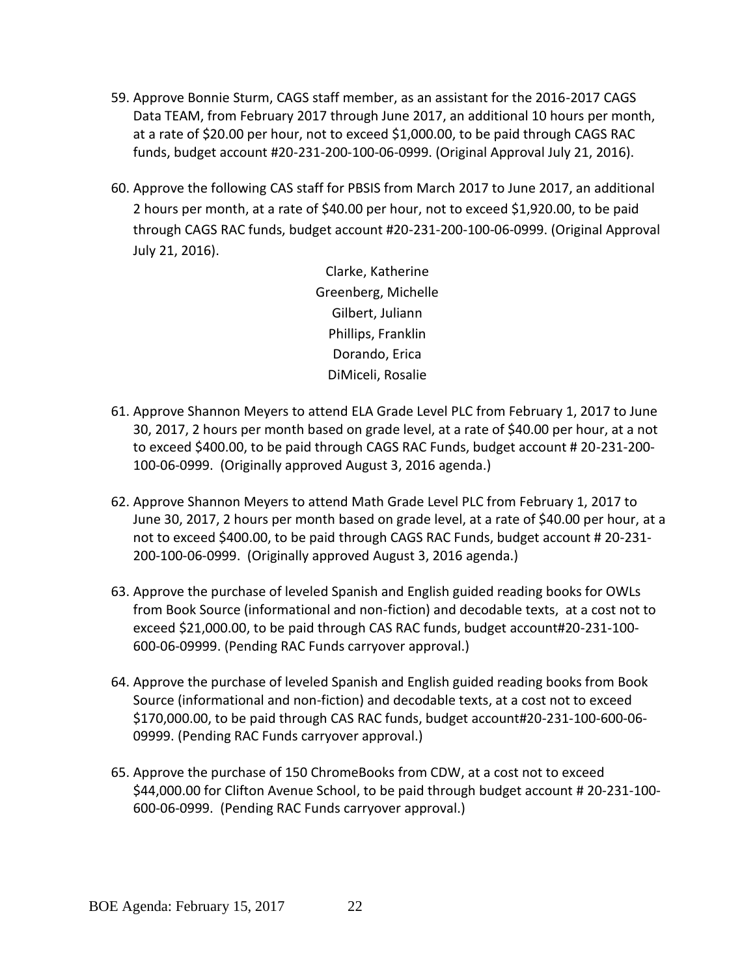- 59. Approve Bonnie Sturm, CAGS staff member, as an assistant for the 2016-2017 CAGS Data TEAM, from February 2017 through June 2017, an additional 10 hours per month, at a rate of \$20.00 per hour, not to exceed \$1,000.00, to be paid through CAGS RAC funds, budget account #20-231-200-100-06-0999. (Original Approval July 21, 2016).
- 60. Approve the following CAS staff for PBSIS from March 2017 to June 2017, an additional 2 hours per month, at a rate of \$40.00 per hour, not to exceed \$1,920.00, to be paid through CAGS RAC funds, budget account #20-231-200-100-06-0999. (Original Approval July 21, 2016).

Clarke, Katherine Greenberg, Michelle Gilbert, Juliann Phillips, Franklin Dorando, Erica DiMiceli, Rosalie

- 61. Approve Shannon Meyers to attend ELA Grade Level PLC from February 1, 2017 to June 30, 2017, 2 hours per month based on grade level, at a rate of \$40.00 per hour, at a not to exceed \$400.00, to be paid through CAGS RAC Funds, budget account # 20-231-200- 100-06-0999. (Originally approved August 3, 2016 agenda.)
- 62. Approve Shannon Meyers to attend Math Grade Level PLC from February 1, 2017 to June 30, 2017, 2 hours per month based on grade level, at a rate of \$40.00 per hour, at a not to exceed \$400.00, to be paid through CAGS RAC Funds, budget account # 20-231- 200-100-06-0999. (Originally approved August 3, 2016 agenda.)
- 63. Approve the purchase of leveled Spanish and English guided reading books for OWLs from Book Source (informational and non-fiction) and decodable texts, at a cost not to exceed \$21,000.00, to be paid through CAS RAC funds, budget account#20-231-100- 600-06-09999. (Pending RAC Funds carryover approval.)
- 64. Approve the purchase of leveled Spanish and English guided reading books from Book Source (informational and non-fiction) and decodable texts, at a cost not to exceed \$170,000.00, to be paid through CAS RAC funds, budget account#20-231-100-600-06- 09999. (Pending RAC Funds carryover approval.)
- 65. Approve the purchase of 150 ChromeBooks from CDW, at a cost not to exceed \$44,000.00 for Clifton Avenue School, to be paid through budget account # 20-231-100- 600-06-0999. (Pending RAC Funds carryover approval.)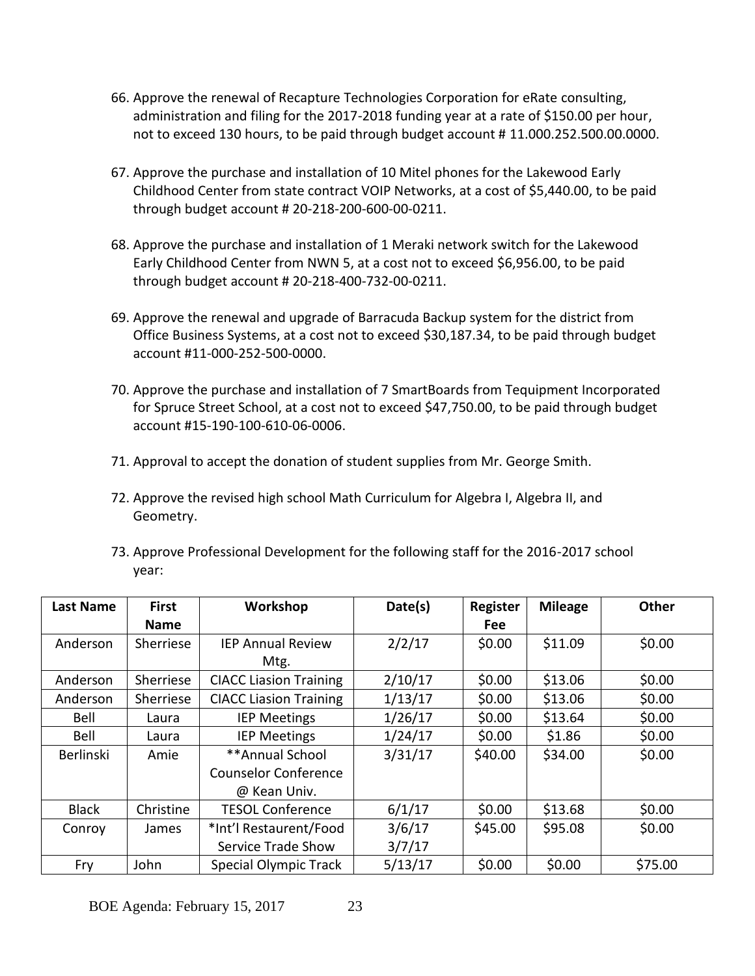- 66. Approve the renewal of Recapture Technologies Corporation for eRate consulting, administration and filing for the 2017-2018 funding year at a rate of \$150.00 per hour, not to exceed 130 hours, to be paid through budget account # 11.000.252.500.00.0000.
- 67. Approve the purchase and installation of 10 Mitel phones for the Lakewood Early Childhood Center from state contract VOIP Networks, at a cost of \$5,440.00, to be paid through budget account # 20-218-200-600-00-0211.
- 68. Approve the purchase and installation of 1 Meraki network switch for the Lakewood Early Childhood Center from NWN 5, at a cost not to exceed \$6,956.00, to be paid through budget account # 20-218-400-732-00-0211.
- 69. Approve the renewal and upgrade of Barracuda Backup system for the district from Office Business Systems, at a cost not to exceed \$30,187.34, to be paid through budget account #11-000-252-500-0000.
- 70. Approve the purchase and installation of 7 SmartBoards from Tequipment Incorporated for Spruce Street School, at a cost not to exceed \$47,750.00, to be paid through budget account #15-190-100-610-06-0006.
- 71. Approval to accept the donation of student supplies from Mr. George Smith.
- 72. Approve the revised high school Math Curriculum for Algebra I, Algebra II, and Geometry.
- 73. Approve Professional Development for the following staff for the 2016-2017 school year:

| <b>Last Name</b> | <b>First</b> | Workshop                      | Date(s) | Register   | <b>Mileage</b> | <b>Other</b> |
|------------------|--------------|-------------------------------|---------|------------|----------------|--------------|
|                  | <b>Name</b>  |                               |         | <b>Fee</b> |                |              |
| Anderson         | Sherriese    | <b>IEP Annual Review</b>      | 2/2/17  | \$0.00     | \$11.09        | \$0.00       |
|                  |              | Mtg.                          |         |            |                |              |
| Anderson         | Sherriese    | <b>CIACC Liasion Training</b> | 2/10/17 | \$0.00     | \$13.06        | \$0.00       |
| Anderson         | Sherriese    | <b>CIACC Liasion Training</b> | 1/13/17 | \$0.00     | \$13.06        | \$0.00       |
| Bell             | Laura        | <b>IEP Meetings</b>           | 1/26/17 | \$0.00     | \$13.64        | \$0.00       |
| Bell             | Laura        | <b>IEP Meetings</b>           | 1/24/17 | \$0.00     | \$1.86         | \$0.00       |
| <b>Berlinski</b> | Amie         | **Annual School               | 3/31/17 | \$40.00    | \$34.00        | \$0.00       |
|                  |              | <b>Counselor Conference</b>   |         |            |                |              |
|                  |              | @ Kean Univ.                  |         |            |                |              |
| <b>Black</b>     | Christine    | <b>TESOL Conference</b>       | 6/1/17  | \$0.00     | \$13.68        | \$0.00       |
| Conroy           | James        | *Int'l Restaurent/Food        | 3/6/17  | \$45.00    | \$95.08        | \$0.00       |
|                  |              | Service Trade Show            | 3/7/17  |            |                |              |
| Fry              | John         | Special Olympic Track         | 5/13/17 | \$0.00     | \$0.00         | \$75.00      |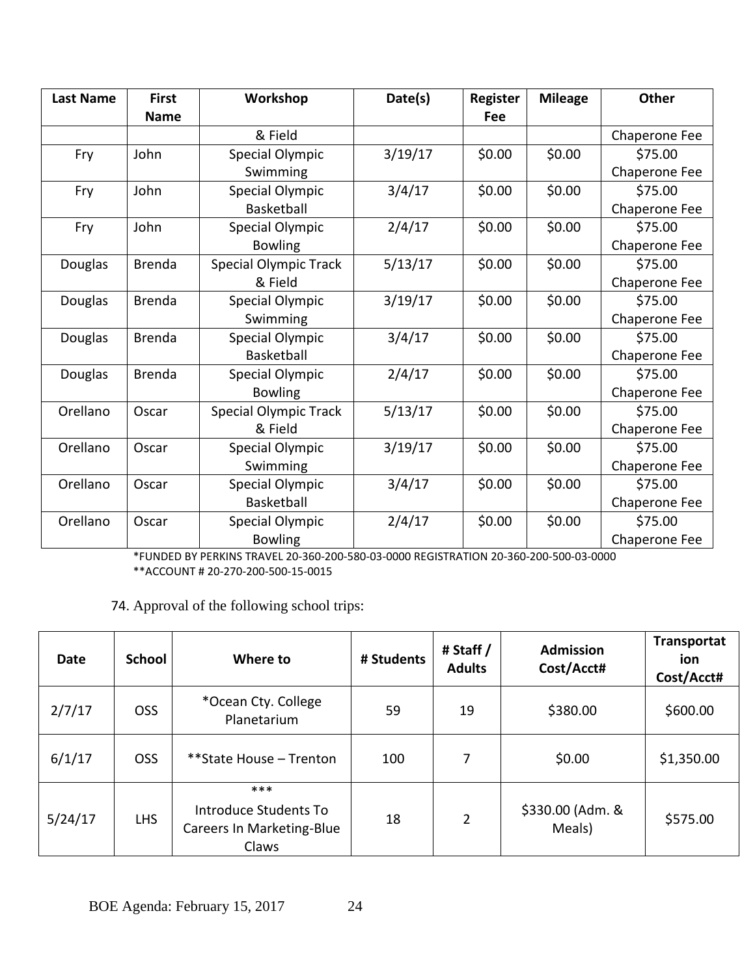| <b>Last Name</b> | <b>First</b>  | Workshop                     | Date(s) | <b>Register</b> | <b>Mileage</b> | Other         |
|------------------|---------------|------------------------------|---------|-----------------|----------------|---------------|
|                  | <b>Name</b>   |                              |         | Fee             |                |               |
|                  |               | & Field                      |         |                 |                | Chaperone Fee |
| Fry              | John          | Special Olympic              | 3/19/17 | \$0.00          | \$0.00         | \$75.00       |
|                  |               | Swimming                     |         |                 |                | Chaperone Fee |
| Fry              | John          | Special Olympic              | 3/4/17  | \$0.00          | \$0.00         | \$75.00       |
|                  |               | Basketball                   |         |                 |                | Chaperone Fee |
| Fry              | John          | <b>Special Olympic</b>       | 2/4/17  | \$0.00          | \$0.00         | \$75.00       |
|                  |               | <b>Bowling</b>               |         |                 |                | Chaperone Fee |
| Douglas          | <b>Brenda</b> | <b>Special Olympic Track</b> | 5/13/17 | \$0.00          | \$0.00         | \$75.00       |
|                  |               | & Field                      |         |                 |                | Chaperone Fee |
| Douglas          | <b>Brenda</b> | Special Olympic              | 3/19/17 | \$0.00          | \$0.00         | \$75.00       |
|                  |               | Swimming                     |         |                 |                | Chaperone Fee |
| Douglas          | <b>Brenda</b> | Special Olympic              | 3/4/17  | \$0.00          | \$0.00         | \$75.00       |
|                  |               | Basketball                   |         |                 |                | Chaperone Fee |
| <b>Douglas</b>   | <b>Brenda</b> | Special Olympic              | 2/4/17  | \$0.00          | \$0.00         | \$75.00       |
|                  |               | <b>Bowling</b>               |         |                 |                | Chaperone Fee |
| Orellano         | Oscar         | <b>Special Olympic Track</b> | 5/13/17 | \$0.00          | \$0.00         | \$75.00       |
|                  |               | & Field                      |         |                 |                | Chaperone Fee |
| Orellano         | Oscar         | Special Olympic              | 3/19/17 | \$0.00          | \$0.00         | \$75.00       |
|                  |               | Swimming                     |         |                 |                | Chaperone Fee |
| Orellano         | Oscar         | Special Olympic              | 3/4/17  | \$0.00          | \$0.00         | \$75.00       |
|                  |               | Basketball                   |         |                 |                | Chaperone Fee |
| Orellano         | Oscar         | Special Olympic              | 2/4/17  | \$0.00          | \$0.00         | \$75.00       |
|                  |               | <b>Bowling</b>               |         |                 |                | Chaperone Fee |

\*FUNDED BY PERKINS TRAVEL 20-360-200-580-03-0000 REGISTRATION 20-360-200-500-03-0000 \*\*ACCOUNT # 20-270-200-500-15-0015

74. Approval of the following school trips:

| <b>Date</b> | <b>School</b> | Where to                                                           | # Students | # Staff /<br><b>Adults</b> | <b>Admission</b><br>Cost/Acct# | <b>Transportat</b><br>ion<br>Cost/Acct# |
|-------------|---------------|--------------------------------------------------------------------|------------|----------------------------|--------------------------------|-----------------------------------------|
| 2/7/17      | <b>OSS</b>    | *Ocean Cty. College<br>Planetarium                                 | 59         | 19                         | \$380.00                       | \$600.00                                |
| 6/1/17      | <b>OSS</b>    | **State House - Trenton                                            | 100        | 7                          | \$0.00                         | \$1,350.00                              |
| 5/24/17     | <b>LHS</b>    | ***<br>Introduce Students To<br>Careers In Marketing-Blue<br>Claws | 18         | 2                          | \$330.00 (Adm. &<br>Meals)     | \$575.00                                |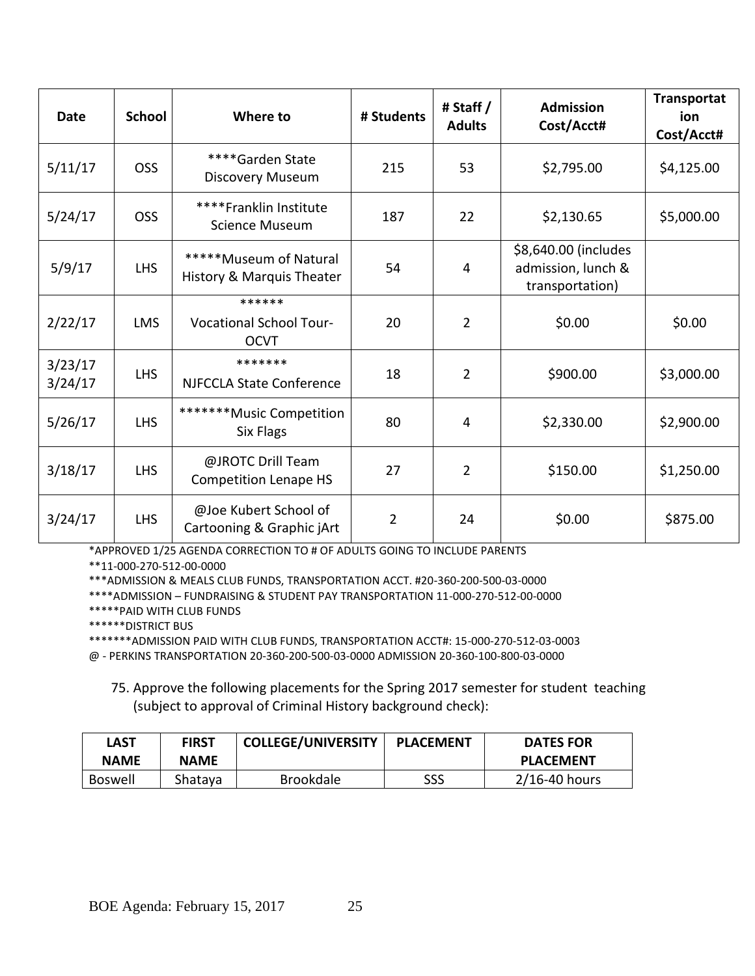| <b>Date</b>        | <b>School</b> | Where to                                                | # Students     | # Staff /<br><b>Adults</b> | <b>Admission</b><br>Cost/Acct#                                | Transportat<br>ion<br>Cost/Acct# |
|--------------------|---------------|---------------------------------------------------------|----------------|----------------------------|---------------------------------------------------------------|----------------------------------|
| 5/11/17            | <b>OSS</b>    | ****Garden State<br><b>Discovery Museum</b>             | 215            | 53                         | \$2,795.00                                                    | \$4,125.00                       |
| 5/24/17            | <b>OSS</b>    | ****Franklin Institute<br><b>Science Museum</b>         | 187            | 22                         | \$2,130.65                                                    | \$5,000.00                       |
| 5/9/17             | <b>LHS</b>    | *****Museum of Natural<br>History & Marquis Theater     | 54             | 4                          | \$8,640.00 (includes<br>admission, lunch &<br>transportation) |                                  |
| 2/22/17            | <b>LMS</b>    | ******<br><b>Vocational School Tour-</b><br><b>OCVT</b> | 20             | $\overline{2}$             | \$0.00                                                        | \$0.00                           |
| 3/23/17<br>3/24/17 | <b>LHS</b>    | *******<br><b>NJFCCLA State Conference</b>              | 18             | $\overline{2}$             | \$900.00                                                      | \$3,000.00                       |
| 5/26/17            | <b>LHS</b>    | *******Music Competition<br>Six Flags                   | 80             | 4                          | \$2,330.00                                                    | \$2,900.00                       |
| 3/18/17            | <b>LHS</b>    | @JROTC Drill Team<br><b>Competition Lenape HS</b>       | 27             | $\overline{2}$             | \$150.00                                                      | \$1,250.00                       |
| 3/24/17            | <b>LHS</b>    | @Joe Kubert School of<br>Cartooning & Graphic jArt      | $\overline{2}$ | 24                         | \$0.00                                                        | \$875.00                         |

\*APPROVED 1/25 AGENDA CORRECTION TO # OF ADULTS GOING TO INCLUDE PARENTS

\*\*11-000-270-512-00-0000

\*\*\*ADMISSION & MEALS CLUB FUNDS, TRANSPORTATION ACCT. #20-360-200-500-03-0000

\*\*\*\*ADMISSION – FUNDRAISING & STUDENT PAY TRANSPORTATION 11-000-270-512-00-0000

\*\*\*\*\*PAID WITH CLUB FUNDS

\*\*\*\*\*\*DISTRICT BUS

\*\*\*\*\*\*\*ADMISSION PAID WITH CLUB FUNDS, TRANSPORTATION ACCT#: 15-000-270-512-03-0003

@ - PERKINS TRANSPORTATION 20-360-200-500-03-0000 ADMISSION 20-360-100-800-03-0000

75. Approve the following placements for the Spring 2017 semester for student teaching (subject to approval of Criminal History background check):

| LAST        | <b>FIRST</b> | <b>COLLEGE/UNIVERSITY</b> | <b>PLACEMENT</b> | <b>DATES FOR</b> |
|-------------|--------------|---------------------------|------------------|------------------|
| <b>NAME</b> | <b>NAME</b>  |                           |                  | <b>PLACEMENT</b> |
| Boswell     | Shataya      | <b>Brookdale</b>          | SSS              | 2/16-40 hours    |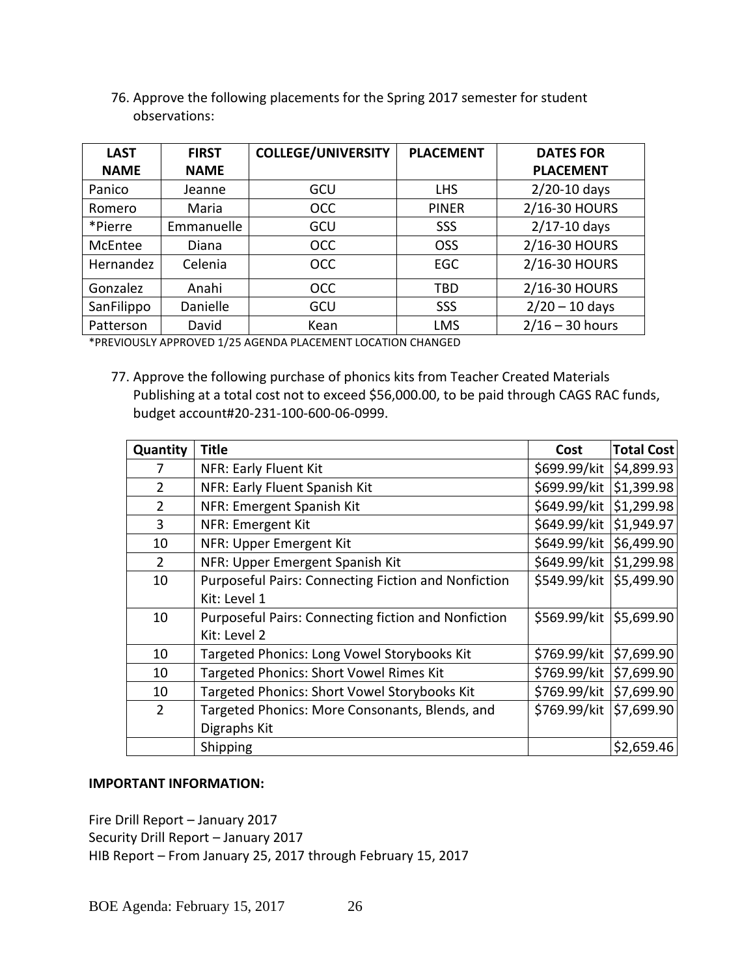| <b>LAST</b> | <b>FIRST</b> | <b>COLLEGE/UNIVERSITY</b> | <b>PLACEMENT</b> | <b>DATES FOR</b>  |
|-------------|--------------|---------------------------|------------------|-------------------|
| <b>NAME</b> | <b>NAME</b>  |                           |                  | <b>PLACEMENT</b>  |
| Panico      | Jeanne       | GCU                       | <b>LHS</b>       | $2/20-10$ days    |
| Romero      | Maria        | <b>OCC</b>                | <b>PINER</b>     | 2/16-30 HOURS     |
| *Pierre     | Emmanuelle   | GCU                       | <b>SSS</b>       | $2/17 - 10$ days  |
| McEntee     | Diana        | <b>OCC</b>                | <b>OSS</b>       | 2/16-30 HOURS     |
| Hernandez   | Celenia      | <b>OCC</b>                | EGC              | 2/16-30 HOURS     |
| Gonzalez    | Anahi        | <b>OCC</b>                | <b>TBD</b>       | 2/16-30 HOURS     |
| SanFilippo  | Danielle     | GCU                       | SSS              | $2/20 - 10$ days  |
| Patterson   | David        | Kean                      | <b>LMS</b>       | $2/16 - 30$ hours |

76. Approve the following placements for the Spring 2017 semester for student observations:

\*PREVIOUSLY APPROVED 1/25 AGENDA PLACEMENT LOCATION CHANGED

77. Approve the following purchase of phonics kits from Teacher Created Materials Publishing at a total cost not to exceed \$56,000.00, to be paid through CAGS RAC funds, budget account#20-231-100-600-06-0999.

| Quantity       | <b>Title</b>                                               | Cost         | <b>Total Cost</b> |
|----------------|------------------------------------------------------------|--------------|-------------------|
| 7              | NFR: Early Fluent Kit                                      | \$699.99/kit | \$4,899.93        |
| $\overline{2}$ | NFR: Early Fluent Spanish Kit                              | \$699.99/kit | \$1,399.98        |
| $\overline{2}$ | NFR: Emergent Spanish Kit                                  | \$649.99/kit | \$1,299.98        |
| 3              | NFR: Emergent Kit                                          | \$649.99/kit | \$1,949.97        |
| 10             | NFR: Upper Emergent Kit                                    | \$649.99/kit | \$6,499.90        |
| $\overline{2}$ | NFR: Upper Emergent Spanish Kit                            | \$649.99/kit | \$1,299.98        |
| 10             | <b>Purposeful Pairs: Connecting Fiction and Nonfiction</b> | \$549.99/kit | \$5,499.90        |
|                | Kit: Level 1                                               |              |                   |
| 10             | <b>Purposeful Pairs: Connecting fiction and Nonfiction</b> | \$569.99/kit | \$5,699.90        |
|                | Kit: Level 2                                               |              |                   |
| 10             | Targeted Phonics: Long Vowel Storybooks Kit                | \$769.99/kit | \$7,699.90        |
| 10             | Targeted Phonics: Short Vowel Rimes Kit                    | \$769.99/kit | \$7,699.90        |
| 10             | Targeted Phonics: Short Vowel Storybooks Kit               | \$769.99/kit | \$7,699.90        |
| $\overline{2}$ | Targeted Phonics: More Consonants, Blends, and             | \$769.99/kit | \$7,699.90        |
|                | Digraphs Kit                                               |              |                   |
|                | Shipping                                                   |              | \$2,659.46        |

### **IMPORTANT INFORMATION:**

Fire Drill Report – January 2017 Security Drill Report – January 2017 HIB Report – From January 25, 2017 through February 15, 2017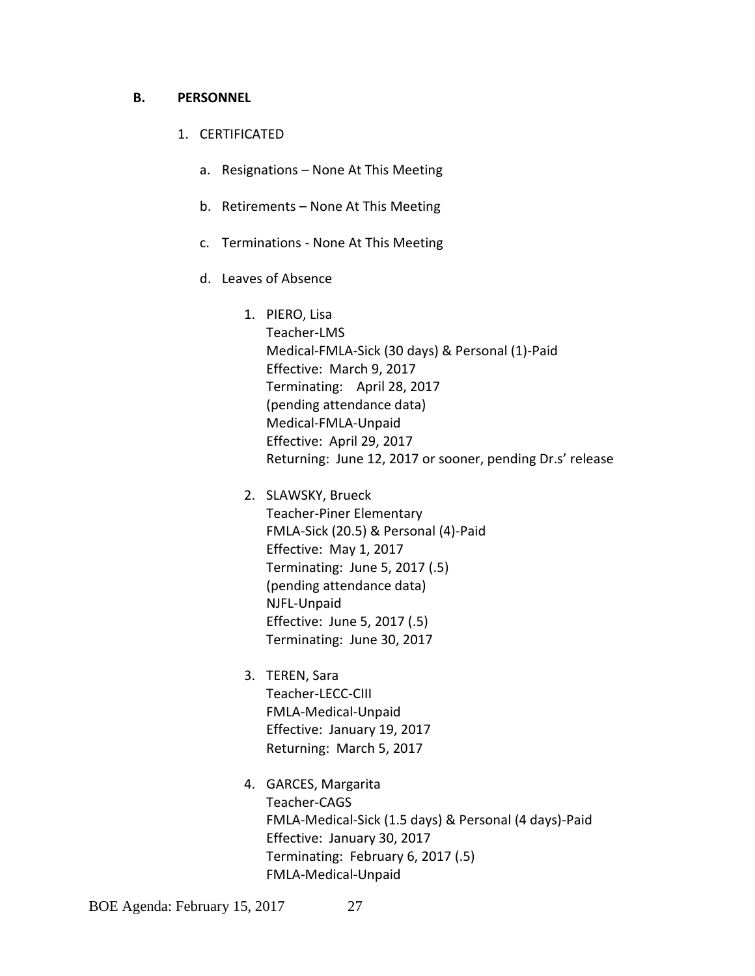#### **B. PERSONNEL**

- 1. CERTIFICATED
	- a. Resignations None At This Meeting
	- b. Retirements None At This Meeting
	- c. Terminations None At This Meeting
	- d. Leaves of Absence
		- 1. PIERO, Lisa Teacher-LMS Medical-FMLA-Sick (30 days) & Personal (1)-Paid Effective: March 9, 2017 Terminating: April 28, 2017 (pending attendance data) Medical-FMLA-Unpaid Effective: April 29, 2017 Returning: June 12, 2017 or sooner, pending Dr.s' release
		- 2. SLAWSKY, Brueck Teacher-Piner Elementary FMLA-Sick (20.5) & Personal (4)-Paid Effective: May 1, 2017 Terminating: June 5, 2017 (.5) (pending attendance data) NJFL-Unpaid Effective: June 5, 2017 (.5) Terminating: June 30, 2017
		- 3. TEREN, Sara Teacher-LECC-CIII FMLA-Medical-Unpaid Effective: January 19, 2017 Returning: March 5, 2017
		- 4. GARCES, Margarita Teacher-CAGS FMLA-Medical-Sick (1.5 days) & Personal (4 days)-Paid Effective: January 30, 2017 Terminating: February 6, 2017 (.5) FMLA-Medical-Unpaid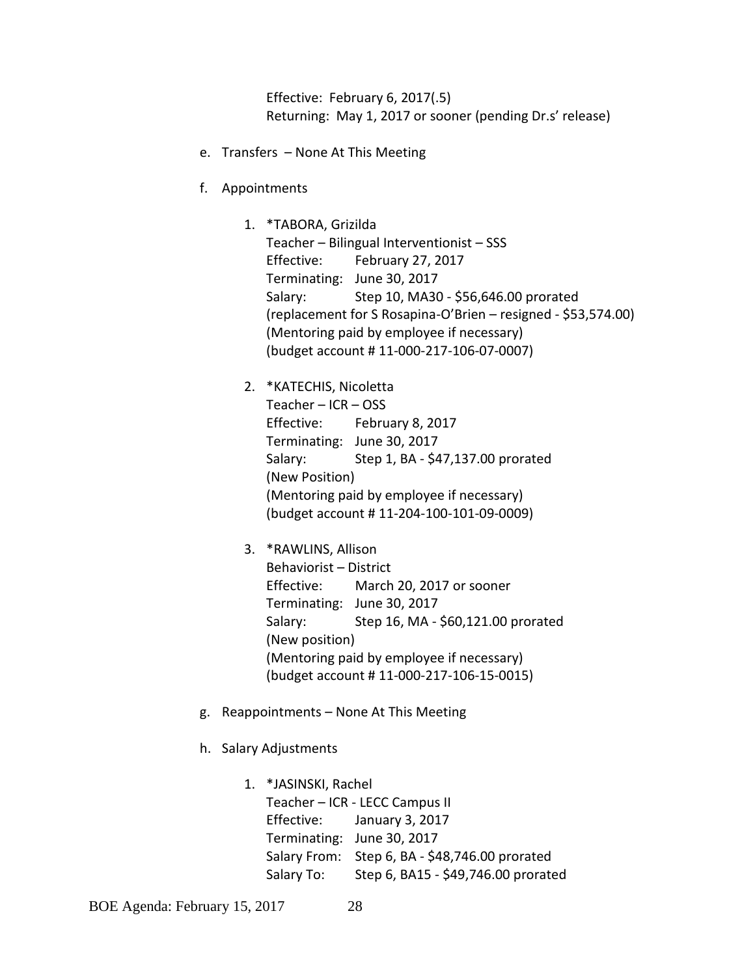Effective: February 6, 2017(.5) Returning: May 1, 2017 or sooner (pending Dr.s' release)

- e. Transfers None At This Meeting
- f. Appointments

1. \*TABORA, Grizilda Teacher – Bilingual Interventionist – SSS Effective: February 27, 2017 Terminating: June 30, 2017 Salary: Step 10, MA30 - \$56,646.00 prorated (replacement for S Rosapina-O'Brien – resigned - \$53,574.00) (Mentoring paid by employee if necessary) (budget account # 11-000-217-106-07-0007)

2. \*KATECHIS, Nicoletta Teacher – ICR – OSS Effective: February 8, 2017 Terminating: June 30, 2017 Salary: Step 1, BA - \$47,137.00 prorated (New Position) (Mentoring paid by employee if necessary) (budget account # 11-204-100-101-09-0009)

3. \*RAWLINS, Allison Behaviorist – District Effective: March 20, 2017 or sooner Terminating: June 30, 2017 Salary: Step 16, MA - \$60,121.00 prorated (New position) (Mentoring paid by employee if necessary) (budget account # 11-000-217-106-15-0015)

- g. Reappointments None At This Meeting
- h. Salary Adjustments

1. \*JASINSKI, Rachel Teacher – ICR - LECC Campus II Effective: January 3, 2017 Terminating: June 30, 2017 Salary From: Step 6, BA - \$48,746.00 prorated Salary To: Step 6, BA15 - \$49,746.00 prorated

BOE Agenda: February 15, 2017 28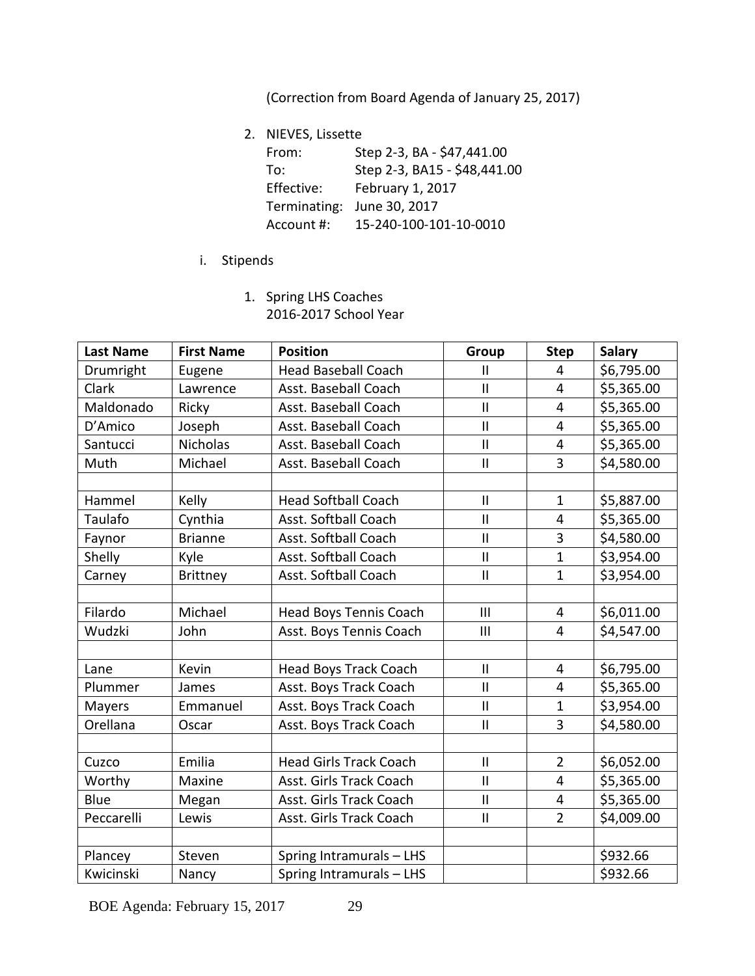(Correction from Board Agenda of January 25, 2017)

2. NIEVES, Lissette

| From:        | Step 2-3, BA - \$47,441.00   |
|--------------|------------------------------|
| To:          | Step 2-3, BA15 - \$48,441.00 |
| Effective:   | February 1, 2017             |
| Terminating: | June 30, 2017                |
| Account #:   | 15-240-100-101-10-0010       |

- i. Stipends
	- 1. Spring LHS Coaches 2016-2017 School Year

| <b>Last Name</b> | <b>First Name</b> | <b>Position</b>               | Group         | <b>Step</b>    | <b>Salary</b> |
|------------------|-------------------|-------------------------------|---------------|----------------|---------------|
| Drumright        | Eugene            | <b>Head Baseball Coach</b>    | $\mathbf{I}$  | 4              | \$6,795.00    |
| Clark            | Lawrence          | Asst. Baseball Coach          | $\mathbf{I}$  | $\overline{4}$ | \$5,365.00    |
| Maldonado        | Ricky             | Asst. Baseball Coach          | $\mathbf{II}$ | 4              | \$5,365.00    |
| D'Amico          | Joseph            | Asst. Baseball Coach          | $\mathbf{I}$  | 4              | \$5,365.00    |
| Santucci         | <b>Nicholas</b>   | Asst. Baseball Coach          | $\mathsf{II}$ | 4              | \$5,365.00    |
| Muth             | Michael           | Asst. Baseball Coach          | $\mathbf{II}$ | 3              | \$4,580.00    |
|                  |                   |                               |               |                |               |
| Hammel           | Kelly             | <b>Head Softball Coach</b>    | $\sf II$      | $\mathbf{1}$   | \$5,887.00    |
| <b>Taulafo</b>   | Cynthia           | Asst. Softball Coach          | $\mathbf{I}$  | 4              | \$5,365.00    |
| Faynor           | <b>Brianne</b>    | Asst. Softball Coach          | $\mathbf{I}$  | 3              | \$4,580.00    |
| Shelly           | Kyle              | Asst. Softball Coach          | $\mathbf{I}$  | $\mathbf{1}$   | \$3,954.00    |
| Carney           | <b>Brittney</b>   | Asst. Softball Coach          | $\mathbf{I}$  | $\mathbf{1}$   | \$3,954.00    |
|                  |                   |                               |               |                |               |
| Filardo          | Michael           | Head Boys Tennis Coach        | III           | 4              | \$6,011.00    |
| Wudzki           | John              | Asst. Boys Tennis Coach       | III           | 4              | \$4,547.00    |
|                  |                   |                               |               |                |               |
| Lane             | Kevin             | <b>Head Boys Track Coach</b>  | $\mathbf{II}$ | 4              | \$6,795.00    |
| Plummer          | James             | Asst. Boys Track Coach        | $\mathbf{II}$ | 4              | \$5,365.00    |
| Mayers           | Emmanuel          | Asst. Boys Track Coach        | $\mathbf{I}$  | $\mathbf{1}$   | \$3,954.00    |
| Orellana         | Oscar             | Asst. Boys Track Coach        | $\mathbf{II}$ | 3              | \$4,580.00    |
|                  |                   |                               |               |                |               |
| Cuzco            | Emilia            | <b>Head Girls Track Coach</b> | $\mathsf{II}$ | $\overline{2}$ | \$6,052.00    |
| Worthy           | Maxine            | Asst. Girls Track Coach       | $\mathbf{I}$  | 4              | \$5,365.00    |
| Blue             | Megan             | Asst. Girls Track Coach       | $\mathbf{I}$  | 4              | \$5,365.00    |
| Peccarelli       | Lewis             | Asst. Girls Track Coach       | $\mathbf{I}$  | $\overline{2}$ | \$4,009.00    |
|                  |                   |                               |               |                |               |
| Plancey          | Steven            | Spring Intramurals - LHS      |               |                | \$932.66      |
| Kwicinski        | Nancy             | Spring Intramurals - LHS      |               |                | \$932.66      |

BOE Agenda: February 15, 2017 29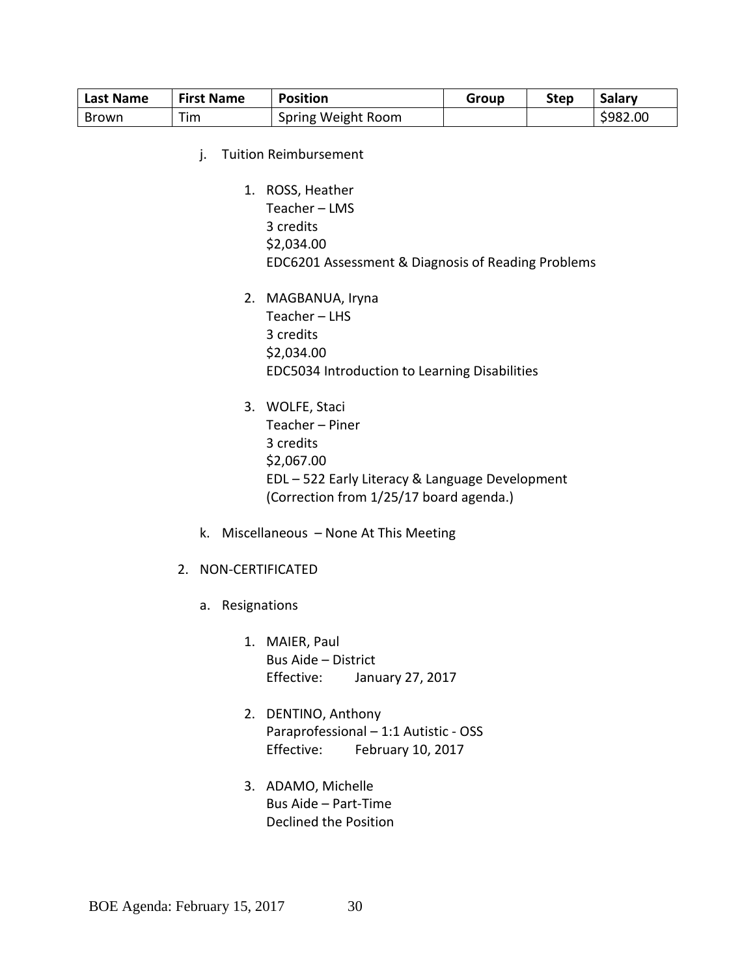| Last Name | <b>First Name</b> | <b>Position</b>    | Group | Step | Salarv   |
|-----------|-------------------|--------------------|-------|------|----------|
| Brown     | Tim               | Spring Weight Room |       |      | \$982.00 |

- j. Tuition Reimbursement
	- 1. ROSS, Heather Teacher – LMS 3 credits \$2,034.00 EDC6201 Assessment & Diagnosis of Reading Problems
	- 2. MAGBANUA, Iryna Teacher – LHS 3 credits \$2,034.00 EDC5034 Introduction to Learning Disabilities
	- 3. WOLFE, Staci Teacher – Piner 3 credits \$2,067.00 EDL – 522 Early Literacy & Language Development (Correction from 1/25/17 board agenda.)
- k. Miscellaneous None At This Meeting
- 2. NON-CERTIFICATED
	- a. Resignations
		- 1. MAIER, Paul Bus Aide – District Effective: January 27, 2017
		- 2. DENTINO, Anthony Paraprofessional – 1:1 Autistic - OSS Effective: February 10, 2017
		- 3. ADAMO, Michelle Bus Aide – Part-Time Declined the Position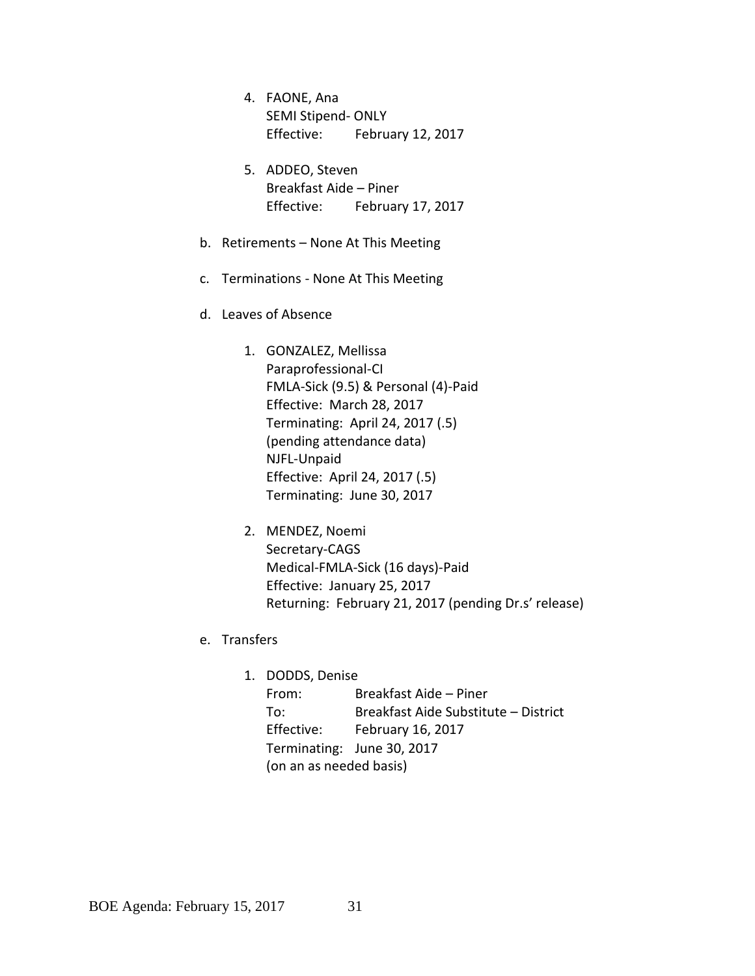- 4. FAONE, Ana SEMI Stipend- ONLY Effective: February 12, 2017
- 5. ADDEO, Steven Breakfast Aide – Piner Effective: February 17, 2017
- b. Retirements None At This Meeting
- c. Terminations None At This Meeting
- d. Leaves of Absence
	- 1. GONZALEZ, Mellissa Paraprofessional-CI FMLA-Sick (9.5) & Personal (4)-Paid Effective: March 28, 2017 Terminating: April 24, 2017 (.5) (pending attendance data) NJFL-Unpaid Effective: April 24, 2017 (.5) Terminating: June 30, 2017
	- 2. MENDEZ, Noemi Secretary-CAGS Medical-FMLA-Sick (16 days)-Paid Effective: January 25, 2017 Returning: February 21, 2017 (pending Dr.s' release)
- e. Transfers
	- 1. DODDS, Denise From: Breakfast Aide – Piner To: Breakfast Aide Substitute – District Effective: February 16, 2017 Terminating: June 30, 2017 (on an as needed basis)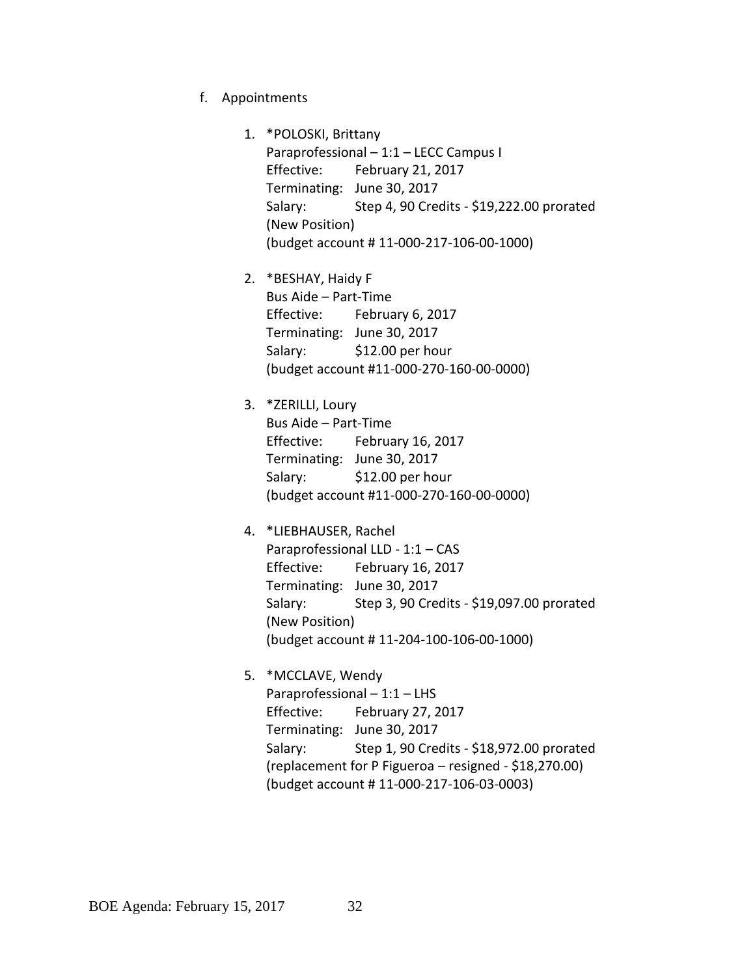- f. Appointments
	- 1. \*POLOSKI, Brittany Paraprofessional – 1:1 – LECC Campus I Effective: February 21, 2017 Terminating: June 30, 2017 Salary: Step 4, 90 Credits - \$19,222.00 prorated (New Position) (budget account # 11-000-217-106-00-1000)
	- 2. \*BESHAY, Haidy F Bus Aide – Part-Time Effective: February 6, 2017 Terminating: June 30, 2017 Salary: \$12.00 per hour (budget account #11-000-270-160-00-0000)
	- 3. \*ZERILLI, Loury Bus Aide – Part-Time Effective: February 16, 2017 Terminating: June 30, 2017 Salary: \$12.00 per hour (budget account #11-000-270-160-00-0000)
	- 4. \*LIEBHAUSER, Rachel Paraprofessional LLD - 1:1 – CAS Effective: February 16, 2017 Terminating: June 30, 2017 Salary: Step 3, 90 Credits - \$19,097.00 prorated (New Position) (budget account # 11-204-100-106-00-1000)
	- 5. \*MCCLAVE, Wendy Paraprofessional – 1:1 – LHS Effective: February 27, 2017 Terminating: June 30, 2017 Salary: Step 1, 90 Credits - \$18,972.00 prorated (replacement for P Figueroa – resigned - \$18,270.00) (budget account # 11-000-217-106-03-0003)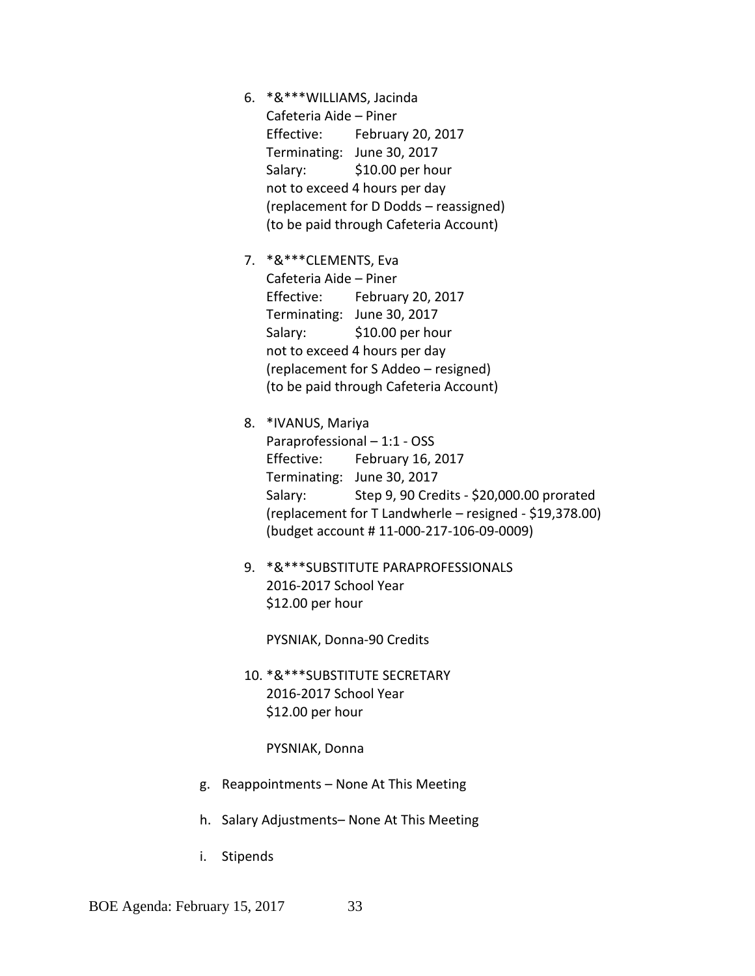- 6. \*&\*\*\*WILLIAMS, Jacinda Cafeteria Aide – Piner Effective: February 20, 2017 Terminating: June 30, 2017 Salary: \$10.00 per hour not to exceed 4 hours per day (replacement for D Dodds – reassigned) (to be paid through Cafeteria Account)
- 7. \*&\*\*\*CLEMENTS, Eva Cafeteria Aide – Piner Effective: February 20, 2017 Terminating: June 30, 2017 Salary: \$10.00 per hour not to exceed 4 hours per day (replacement for S Addeo – resigned) (to be paid through Cafeteria Account)
- 8. \*IVANUS, Mariya Paraprofessional – 1:1 - OSS Effective: February 16, 2017 Terminating: June 30, 2017 Salary: Step 9, 90 Credits - \$20,000.00 prorated (replacement for T Landwherle – resigned - \$19,378.00) (budget account # 11-000-217-106-09-0009)
- 9. \*&\*\*\*SUBSTITUTE PARAPROFESSIONALS 2016-2017 School Year \$12.00 per hour

PYSNIAK, Donna-90 Credits

10. \*&\*\*\*SUBSTITUTE SECRETARY 2016-2017 School Year \$12.00 per hour

PYSNIAK, Donna

- g. Reappointments None At This Meeting
- h. Salary Adjustments– None At This Meeting
- i. Stipends